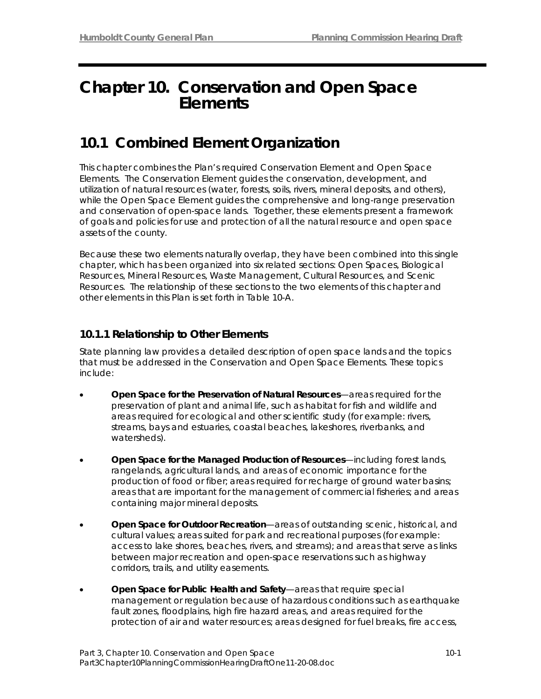### **Chapter 10. Conservation and Open Space Elements**

# **10.1 Combined Element Organization**

This chapter combines the Plan's required Conservation Element and Open Space Elements. The Conservation Element guides the conservation, development, and utilization of natural resources (water, forests, soils, rivers, mineral deposits, and others), while the Open Space Element guides the comprehensive and long-range preservation and conservation of open-space lands. Together, these elements present a framework of goals and policies for use and protection of all the natural resource and open space assets of the county.

Because these two elements naturally overlap, they have been combined into this single chapter, which has been organized into six related sections: Open Spaces, Biological Resources, Mineral Resources, Waste Management, Cultural Resources, and Scenic Resources. The relationship of these sections to the two elements of this chapter and other elements in this Plan is set forth in Table 10-A.

### **10.1.1 Relationship to Other Elements**

State planning law provides a detailed description of open space lands and the topics that must be addressed in the Conservation and Open Space Elements. These topics include:

- **Open Space for the Preservation of Natural Resources**—areas required for the preservation of plant and animal life, such as habitat for fish and wildlife and areas required for ecological and other scientific study (for example: rivers, streams, bays and estuaries, coastal beaches, lakeshores, riverbanks, and watersheds).
- **Open Space for the Managed Production of Resources**—including forest lands, rangelands, agricultural lands, and areas of economic importance for the production of food or fiber; areas required for recharge of ground water basins; areas that are important for the management of commercial fisheries; and areas containing major mineral deposits.
- **Open Space for Outdoor Recreation**—areas of outstanding scenic, historical, and cultural values; areas suited for park and recreational purposes (for example: access to lake shores, beaches, rivers, and streams); and areas that serve as links between major recreation and open-space reservations such as highway corridors, trails, and utility easements.
- **Open Space for Public Health and Safety**—areas that require special management or regulation because of hazardous conditions such as earthquake fault zones, floodplains, high fire hazard areas, and areas required for the protection of air and water resources; areas designed for fuel breaks, fire access,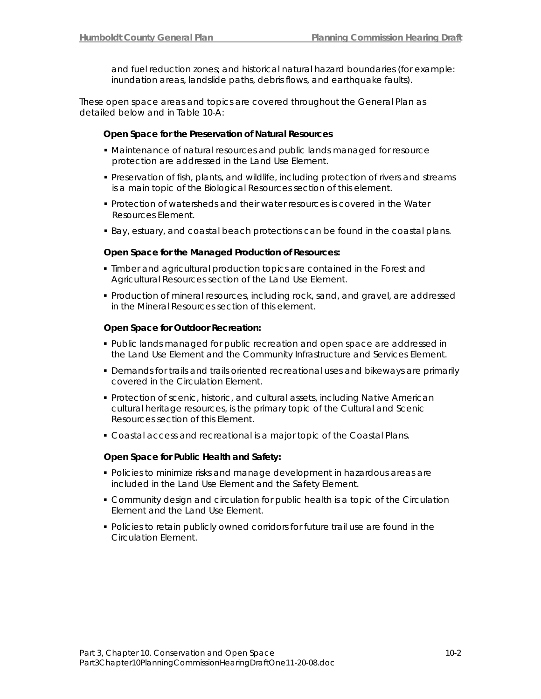and fuel reduction zones; and historical natural hazard boundaries (for example: inundation areas, landslide paths, debris flows, and earthquake faults).

These open space areas and topics are covered throughout the General Plan as detailed below and in Table 10-A:

#### **Open Space for the Preservation of Natural Resources**

- Maintenance of natural resources and public lands managed for resource protection are addressed in the Land Use Element.
- Preservation of fish, plants, and wildlife, including protection of rivers and streams is a main topic of the Biological Resources section of this element.
- Protection of watersheds and their water resources is covered in the Water Resources Element.
- Bay, estuary, and coastal beach protections can be found in the coastal plans.

#### **Open Space for the Managed Production of Resources:**

- Timber and agricultural production topics are contained in the Forest and Agricultural Resources section of the Land Use Element.
- Production of mineral resources, including rock, sand, and gravel, are addressed in the Mineral Resources section of this element.

#### **Open Space for Outdoor Recreation:**

- Public lands managed for public recreation and open space are addressed in the Land Use Element and the Community Infrastructure and Services Element.
- **Demands for trails and trails oriented recreational uses and bikeways are primarily** covered in the Circulation Element.
- **Protection of scenic, historic, and cultural assets, including Native American** cultural heritage resources, is the primary topic of the Cultural and Scenic Resources section of this Element.
- Coastal access and recreational is a major topic of the Coastal Plans.

#### **Open Space for Public Health and Safety:**

- Policies to minimize risks and manage development in hazardous areas are included in the Land Use Element and the Safety Element.
- Community design and circulation for public health is a topic of the Circulation Element and the Land Use Element.
- Policies to retain publicly owned corridors for future trail use are found in the Circulation Element.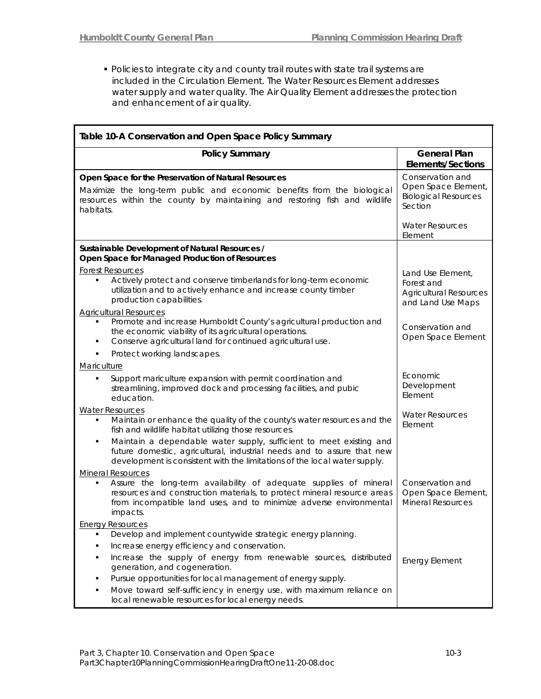• Policies to integrate city and county trail routes with state trail systems are included in the Circulation Element. The Water Resources Element addresses water supply and water quality. The Air Quality Element addresses the protection and enhancement of air quality.

| Table 10-A Conservation and Open Space Policy Summary                                                                                                                                                                                                                                                                                                                                        |                                                                                       |  |
|----------------------------------------------------------------------------------------------------------------------------------------------------------------------------------------------------------------------------------------------------------------------------------------------------------------------------------------------------------------------------------------------|---------------------------------------------------------------------------------------|--|
| <b>Policy Summary</b>                                                                                                                                                                                                                                                                                                                                                                        | <b>General Plan</b><br><b>Elements/Sections</b>                                       |  |
| Open Space for the Preservation of Natural Resources<br>Maximize the long-term public and economic benefits from the biological<br>resources within the county by maintaining and restoring fish and wildlife<br>habitats.                                                                                                                                                                   | Conservation and<br>Open Space Element,<br><b>Biological Resources</b><br>Section     |  |
|                                                                                                                                                                                                                                                                                                                                                                                              | <b>Water Resources</b><br>Element                                                     |  |
| Sustainable Development of Natural Resources /<br>Open Space for Managed Production of Resources                                                                                                                                                                                                                                                                                             |                                                                                       |  |
| Forest Resources<br>Actively protect and conserve timberlands for long-term economic<br>utilization and to actively enhance and increase county timber<br>production capabilities.                                                                                                                                                                                                           | Land Use Element,<br>Forest and<br><b>Agricultural Resources</b><br>and Land Use Maps |  |
| <b>Agricultural Resources</b><br>Promote and increase Humboldt County's agricultural production and<br>the economic viability of its agricultural operations.<br>Conserve agricultural land for continued agricultural use.<br>٠                                                                                                                                                             | Conservation and<br>Open Space Element                                                |  |
| Protect working landscapes.                                                                                                                                                                                                                                                                                                                                                                  |                                                                                       |  |
| Mariculture<br>Support mariculture expansion with permit coordination and<br>٠<br>streamlining, improved dock and processing facilities, and pubic<br>education.                                                                                                                                                                                                                             | Economic<br>Development<br>Element                                                    |  |
| <b>Water Resources</b><br>Maintain or enhance the quality of the county's water resources and the<br>fish and wildlife habitat utilizing those resources.<br>Maintain a dependable water supply, sufficient to meet existing and<br>٠<br>future domestic, agricultural, industrial needs and to assure that new<br>development is consistent with the limitations of the local water supply. | <b>Water Resources</b><br>Element                                                     |  |
| <b>Mineral Resources</b><br>Assure the long-term availability of adequate supplies of mineral<br>٠<br>resources and construction materials, to protect mineral resource areas<br>from incompatible land uses, and to minimize adverse environmental<br>impacts.                                                                                                                              | Conservation and<br>Open Space Element,<br><b>Mineral Resources</b>                   |  |
| <b>Energy Resources</b>                                                                                                                                                                                                                                                                                                                                                                      |                                                                                       |  |
| Develop and implement countywide strategic energy planning.<br>٠                                                                                                                                                                                                                                                                                                                             |                                                                                       |  |
| Increase energy efficiency and conservation.<br>Increase the supply of energy from renewable sources, distributed<br>generation, and cogeneration.<br>Pursue opportunities for local management of energy supply.                                                                                                                                                                            | <b>Energy Element</b>                                                                 |  |
| Move toward self-sufficiency in energy use, with maximum reliance on<br>local renewable resources for local energy needs.                                                                                                                                                                                                                                                                    |                                                                                       |  |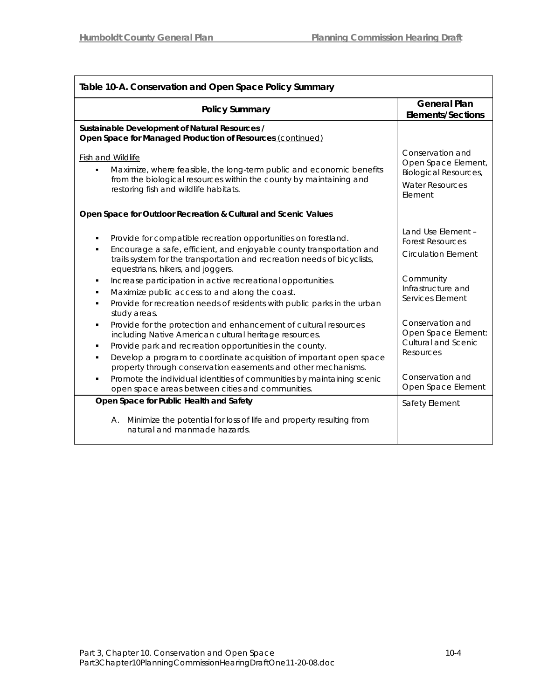| Table 10-A. Conservation and Open Space Policy Summary                                                                                                                                                                                                                       |                                                                                                              |  |
|------------------------------------------------------------------------------------------------------------------------------------------------------------------------------------------------------------------------------------------------------------------------------|--------------------------------------------------------------------------------------------------------------|--|
| <b>Policy Summary</b>                                                                                                                                                                                                                                                        | <b>General Plan</b><br><b>Elements/Sections</b>                                                              |  |
| Sustainable Development of Natural Resources /<br>Open Space for Managed Production of Resources (continued)                                                                                                                                                                 |                                                                                                              |  |
| <b>Fish and Wildlife</b><br>Maximize, where feasible, the long-term public and economic benefits<br>from the biological resources within the county by maintaining and<br>restoring fish and wildlife habitats.                                                              | Conservation and<br>Open Space Element,<br><b>Biological Resources,</b><br><b>Water Resources</b><br>Element |  |
| Open Space for Outdoor Recreation & Cultural and Scenic Values                                                                                                                                                                                                               |                                                                                                              |  |
| Provide for compatible recreation opportunities on forestland.<br>Encourage a safe, efficient, and enjoyable county transportation and<br>trails system for the transportation and recreation needs of bicyclists,<br>equestrians, hikers, and joggers.                      | Land Use Element -<br><b>Forest Resources</b><br><b>Circulation Element</b><br>Community                     |  |
| Increase participation in active recreational opportunities.<br>٠<br>Maximize public access to and along the coast.<br>٠<br>Provide for recreation needs of residents with public parks in the urban<br>п<br>study areas.                                                    | Infrastructure and<br>Services Element                                                                       |  |
| Provide for the protection and enhancement of cultural resources<br>٠<br>including Native American cultural heritage resources.<br>Provide park and recreation opportunities in the county.<br>٠<br>Develop a program to coordinate acquisition of important open space<br>٠ | Conservation and<br>Open Space Element:<br><b>Cultural and Scenic</b><br>Resources                           |  |
| property through conservation easements and other mechanisms.<br>Promote the individual identities of communities by maintaining scenic<br>٠<br>open space areas between cities and communities.                                                                             | Conservation and<br>Open Space Element                                                                       |  |
| Open Space for Public Health and Safety                                                                                                                                                                                                                                      | Safety Element                                                                                               |  |
| A. Minimize the potential for loss of life and property resulting from<br>natural and manmade hazards.                                                                                                                                                                       |                                                                                                              |  |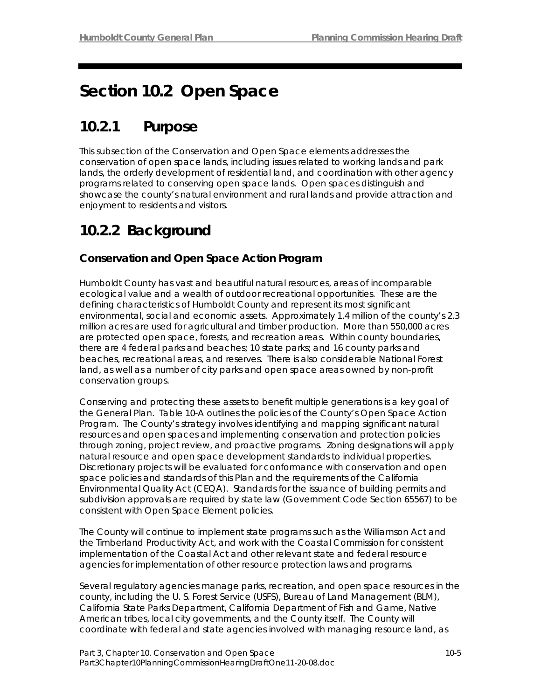# **Section 10.2 Open Space**

# **10.2.1 Purpose**

This subsection of the Conservation and Open Space elements addresses the conservation of open space lands, including issues related to working lands and park lands, the orderly development of residential land, and coordination with other agency programs related to conserving open space lands. Open spaces distinguish and showcase the county's natural environment and rural lands and provide attraction and enjoyment to residents and visitors.

# **10.2.2 Background**

### **Conservation and Open Space Action Program**

Humboldt County has vast and beautiful natural resources, areas of incomparable ecological value and a wealth of outdoor recreational opportunities. These are the defining characteristics of Humboldt County and represent its most significant environmental, social and economic assets. Approximately 1.4 million of the county's 2.3 million acres are used for agricultural and timber production. More than 550,000 acres are protected open space, forests, and recreation areas. Within county boundaries, there are 4 federal parks and beaches; 10 state parks; and 16 county parks and beaches, recreational areas, and reserves. There is also considerable National Forest land, as well as a number of city parks and open space areas owned by non-profit conservation groups.

Conserving and protecting these assets to benefit multiple generations is a key goal of the General Plan. Table 10-A outlines the policies of the County's Open Space Action Program. The County's strategy involves identifying and mapping significant natural resources and open spaces and implementing conservation and protection policies through zoning, project review, and proactive programs. Zoning designations will apply natural resource and open space development standards to individual properties. Discretionary projects will be evaluated for conformance with conservation and open space policies and standards of this Plan and the requirements of the California Environmental Quality Act (CEQA). Standards for the issuance of building permits and subdivision approvals are required by state law (Government Code Section 65567) to be consistent with Open Space Element policies.

The County will continue to implement state programs such as the Williamson Act and the Timberland Productivity Act, and work with the Coastal Commission for consistent implementation of the Coastal Act and other relevant state and federal resource agencies for implementation of other resource protection laws and programs.

Several regulatory agencies manage parks, recreation, and open space resources in the county, including the U. S. Forest Service (USFS), Bureau of Land Management (BLM), California State Parks Department, California Department of Fish and Game, Native American tribes, local city governments, and the County itself. The County will coordinate with federal and state agencies involved with managing resource land, as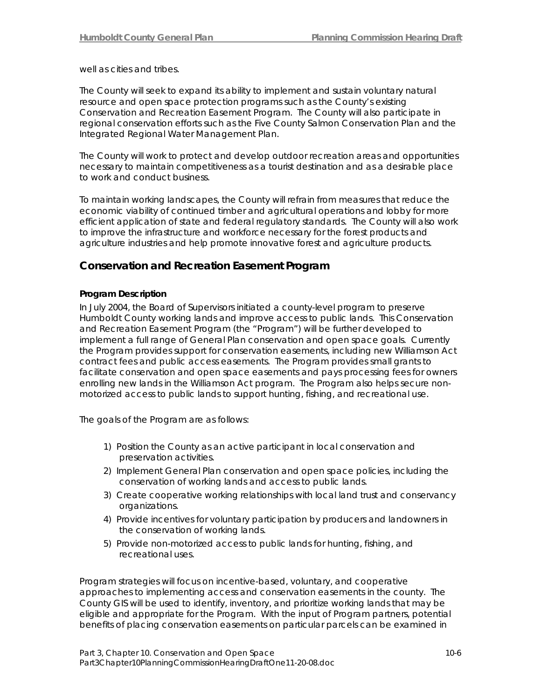well as cities and tribes.

The County will seek to expand its ability to implement and sustain voluntary natural resource and open space protection programs such as the County's existing Conservation and Recreation Easement Program. The County will also participate in regional conservation efforts such as the Five County Salmon Conservation Plan and the Integrated Regional Water Management Plan.

The County will work to protect and develop outdoor recreation areas and opportunities necessary to maintain competitiveness as a tourist destination and as a desirable place to work and conduct business.

To maintain working landscapes, the County will refrain from measures that reduce the economic viability of continued timber and agricultural operations and lobby for more efficient application of state and federal regulatory standards. The County will also work to improve the infrastructure and workforce necessary for the forest products and agriculture industries and help promote innovative forest and agriculture products.

### **Conservation and Recreation Easement Program**

#### **Program Description**

In July 2004, the Board of Supervisors initiated a county-level program to preserve Humboldt County working lands and improve access to public lands. This Conservation and Recreation Easement Program (the "Program") will be further developed to implement a full range of General Plan conservation and open space goals. Currently the Program provides support for conservation easements, including new Williamson Act contract fees and public access easements. The Program provides small grants to facilitate conservation and open space easements and pays processing fees for owners enrolling new lands in the Williamson Act program. The Program also helps secure nonmotorized access to public lands to support hunting, fishing, and recreational use.

The goals of the Program are as follows:

- 1) Position the County as an active participant in local conservation and preservation activities.
- 2) Implement General Plan conservation and open space policies, including the conservation of working lands and access to public lands.
- 3) Create cooperative working relationships with local land trust and conservancy organizations.
- 4) Provide incentives for voluntary participation by producers and landowners in the conservation of working lands.
- 5) Provide non-motorized access to public lands for hunting, fishing, and recreational uses.

Program strategies will focus on incentive-based, voluntary, and cooperative approaches to implementing access and conservation easements in the county. The County GIS will be used to identify, inventory, and prioritize working lands that may be eligible and appropriate for the Program. With the input of Program partners, potential benefits of placing conservation easements on particular parcels can be examined in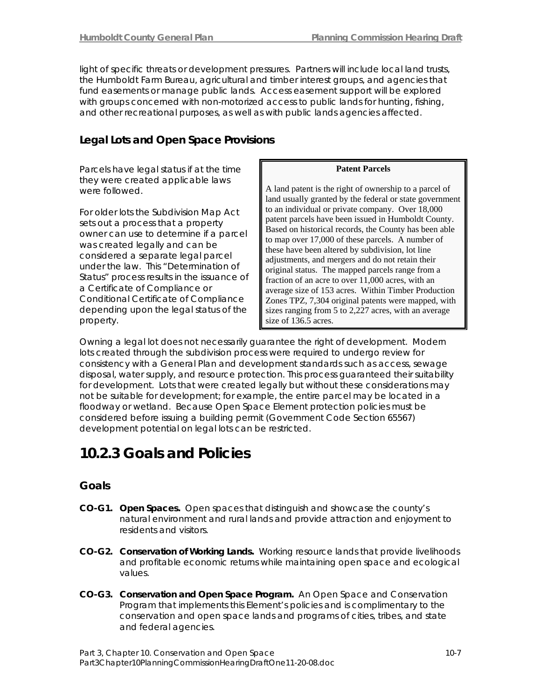light of specific threats or development pressures. Partners will include local land trusts, the Humboldt Farm Bureau, agricultural and timber interest groups, and agencies that fund easements or manage public lands. Access easement support will be explored with groups concerned with non-motorized access to public lands for hunting, fishing, and other recreational purposes, as well as with public lands agencies affected.

### **Legal Lots and Open Space Provisions**

Parcels have legal status if at the time **Fack Patent Parcels** they were created applicable laws

For older lots the Subdivision Map Act sets out a process that a property owner can use to determine if a parcel was created legally and can be considered a separate legal parcel under the law. This "Determination of Status" process results in the issuance of a Certificate of Compliance or Conditional Certificate of Compliance depending upon the legal status of the property.

were followed.  $\parallel$  A land patent is the right of ownership to a parcel of land usually granted by the federal or state government to an individual or private company. Over 18,000 patent parcels have been issued in Humboldt County. Based on historical records, the County has been able to map over 17,000 of these parcels. A number of these have been altered by subdivision, lot line adjustments, and mergers and do not retain their original status. The mapped parcels range from a fraction of an acre to over 11,000 acres, with an average size of 153 acres. Within Timber Production Zones TPZ, 7,304 original patents were mapped, with sizes ranging from 5 to 2,227 acres, with an average size of 136.5 acres.

Owning a legal lot does not necessarily guarantee the right of development. Modern lots created through the subdivision process were required to undergo review for consistency with a General Plan and development standards such as access, sewage disposal, water supply, and resource protection. This process guaranteed their suitability for development. Lots that were created legally but without these considerations may not be suitable for development; for example, the entire parcel may be located in a floodway or wetland. Because Open Space Element protection policies must be considered before issuing a building permit (Government Code Section 65567) development potential on legal lots can be restricted.

### **10.2.3 Goals and Policies**

### **Goals**

- **CO-G1. Open Spaces.** Open spaces that distinguish and showcase the county's natural environment and rural lands and provide attraction and enjoyment to residents and visitors.
- **CO-G2. Conservation of Working Lands.** Working resource lands that provide livelihoods and profitable economic returns while maintaining open space and ecological values.
- **CO-G3. Conservation and Open Space Program.** An Open Space and Conservation Program that implements this Element's policies and is complimentary to the conservation and open space lands and programs of cities, tribes, and state and federal agencies.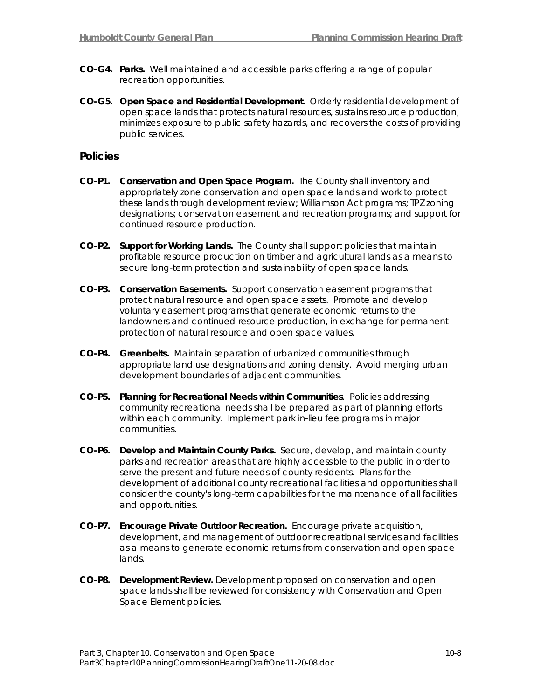- **CO-G4. Parks.** Well maintained and accessible parks offering a range of popular recreation opportunities.
- **CO-G5. Open Space and Residential Development.** Orderly residential development of open space lands that protects natural resources, sustains resource production, minimizes exposure to public safety hazards, and recovers the costs of providing public services.

#### **Policies**

- **CO-P1. Conservation and Open Space Program.** The County shall inventory and appropriately zone conservation and open space lands and work to protect these lands through development review; Williamson Act programs; TPZ zoning designations; conservation easement and recreation programs; and support for continued resource production.
- **CO-P2. Support for Working Lands.** The County shall support policies that maintain profitable resource production on timber and agricultural lands as a means to secure long-term protection and sustainability of open space lands.
- **CO-P3. Conservation Easements.** Support conservation easement programs that protect natural resource and open space assets. Promote and develop voluntary easement programs that generate economic returns to the landowners and continued resource production, in exchange for permanent protection of natural resource and open space values.
- **CO-P4. Greenbelts.** Maintain separation of urbanized communities through appropriate land use designations and zoning density. Avoid merging urban development boundaries of adjacent communities.
- **CO-P5. Planning for Recreational Needs within Communities**. Policies addressing community recreational needs shall be prepared as part of planning efforts within each community. Implement park in-lieu fee programs in major communities.
- **CO-P6. Develop and Maintain County Parks.** Secure, develop, and maintain county parks and recreation areas that are highly accessible to the public in order to serve the present and future needs of county residents. Plans for the development of additional county recreational facilities and opportunities shall consider the county's long-term capabilities for the maintenance of all facilities and opportunities.
- **CO-P7. Encourage Private Outdoor Recreation.** Encourage private acquisition, development, and management of outdoor recreational services and facilities as a means to generate economic returns from conservation and open space lands.
- **CO-P8. Development Review.** Development proposed on conservation and open space lands shall be reviewed for consistency with Conservation and Open Space Element policies.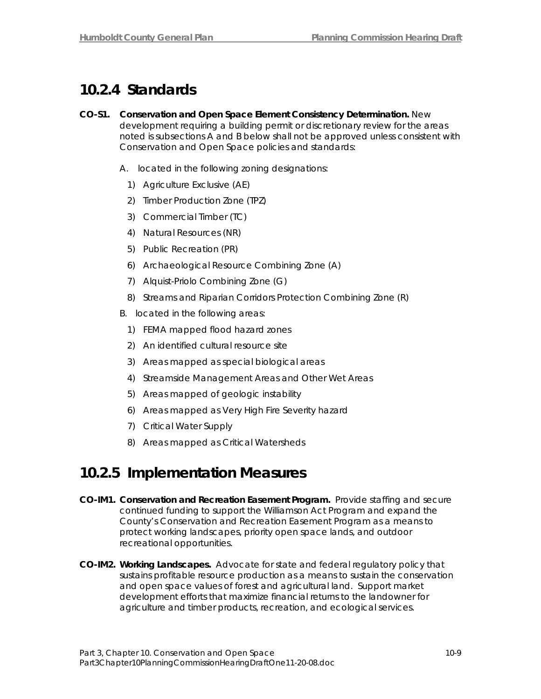### **10.2.4 Standards**

- **CO-S1. Conservation and Open Space Element Consistency Determination.** New development requiring a building permit or discretionary review for the areas noted is subsections A and B below shall not be approved unless consistent with Conservation and Open Space policies and standards:
	- A. located in the following zoning designations:
		- 1) Agriculture Exclusive (AE)
		- 2) Timber Production Zone (TPZ)
		- 3) Commercial Timber (TC)
		- 4) Natural Resources (NR)
		- 5) Public Recreation (PR)
		- 6) Archaeological Resource Combining Zone (A)
		- 7) Alquist-Priolo Combining Zone (G)
		- 8) Streams and Riparian Corridors Protection Combining Zone (R)
	- B. located in the following areas:
		- 1) FEMA mapped flood hazard zones
		- 2) An identified cultural resource site
		- 3) Areas mapped as special biological areas
		- 4) Streamside Management Areas and Other Wet Areas
		- 5) Areas mapped of geologic instability
		- 6) Areas mapped as Very High Fire Severity hazard
		- 7) Critical Water Supply
		- 8) Areas mapped as Critical Watersheds

### **10.2.5 Implementation Measures**

- **CO-IM1. Conservation and Recreation Easement Program.** Provide staffing and secure continued funding to support the Williamson Act Program and expand the County's Conservation and Recreation Easement Program as a means to protect working landscapes, priority open space lands, and outdoor recreational opportunities.
- **CO-IM2. Working Landscapes.** Advocate for state and federal regulatory policy that sustains profitable resource production as a means to sustain the conservation and open space values of forest and agricultural land. Support market development efforts that maximize financial returns to the landowner for agriculture and timber products, recreation, and ecological services.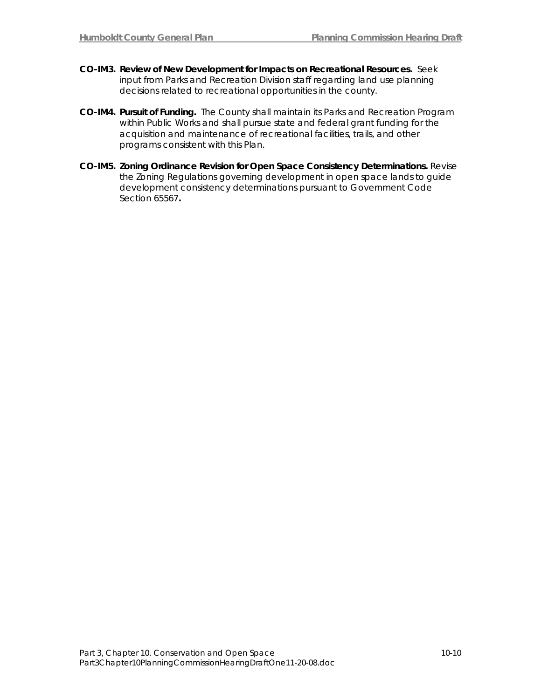- **CO-IM3. Review of New Development for Impacts on Recreational Resources.** Seek input from Parks and Recreation Division staff regarding land use planning decisions related to recreational opportunities in the county.
- **CO-IM4. Pursuit of Funding.** The County shall maintain its Parks and Recreation Program within Public Works and shall pursue state and federal grant funding for the acquisition and maintenance of recreational facilities, trails, and other programs consistent with this Plan.
- **CO-IM5. Zoning Ordinance Revision for Open Space Consistency Determinations.** Revise the Zoning Regulations governing development in open space lands to guide development consistency determinations pursuant to Government Code Section 65567**.**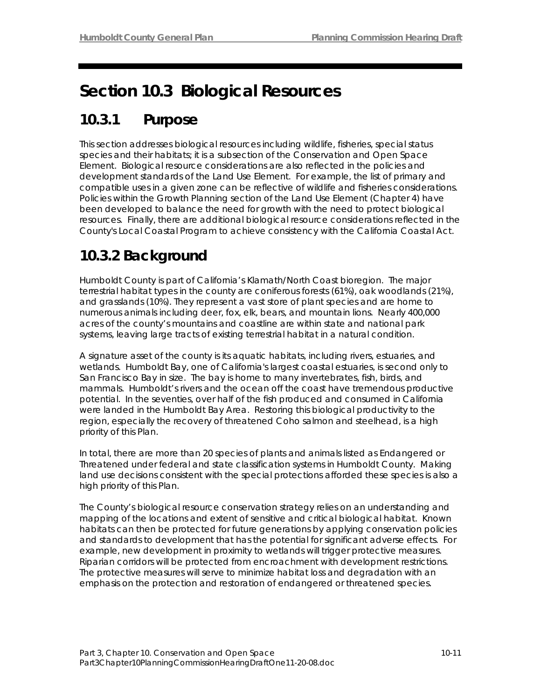# **Section 10.3 Biological Resources**

# **10.3.1 Purpose**

This section addresses biological resources including wildlife, fisheries, special status species and their habitats; it is a subsection of the Conservation and Open Space Element. Biological resource considerations are also reflected in the policies and development standards of the Land Use Element. For example, the list of primary and compatible uses in a given zone can be reflective of wildlife and fisheries considerations. Policies within the Growth Planning section of the Land Use Element (Chapter 4) have been developed to balance the need for growth with the need to protect biological resources. Finally, there are additional biological resource considerations reflected in the County's Local Coastal Program to achieve consistency with the California Coastal Act.

# **10.3.2 Background**

Humboldt County is part of California's Klamath/North Coast bioregion. The major terrestrial habitat types in the county are coniferous forests (61%), oak woodlands (21%), and grasslands (10%). They represent a vast store of plant species and are home to numerous animals including deer, fox, elk, bears, and mountain lions. Nearly 400,000 acres of the county's mountains and coastline are within state and national park systems, leaving large tracts of existing terrestrial habitat in a natural condition.

A signature asset of the county is its aquatic habitats, including rivers, estuaries, and wetlands. Humboldt Bay, one of California's largest coastal estuaries, is second only to San Francisco Bay in size. The bay is home to many invertebrates, fish, birds, and mammals. Humboldt's rivers and the ocean off the coast have tremendous productive potential. In the seventies, over half of the fish produced and consumed in California were landed in the Humboldt Bay Area. Restoring this biological productivity to the region, especially the recovery of threatened Coho salmon and steelhead, is a high priority of this Plan.

In total, there are more than 20 species of plants and animals listed as Endangered or Threatened under federal and state classification systems in Humboldt County. Making land use decisions consistent with the special protections afforded these species is also a high priority of this Plan.

The County's biological resource conservation strategy relies on an understanding and mapping of the locations and extent of sensitive and critical biological habitat. Known habitats can then be protected for future generations by applying conservation policies and standards to development that has the potential for significant adverse effects. For example, new development in proximity to wetlands will trigger protective measures. Riparian corridors will be protected from encroachment with development restrictions. The protective measures will serve to minimize habitat loss and degradation with an emphasis on the protection and restoration of endangered or threatened species.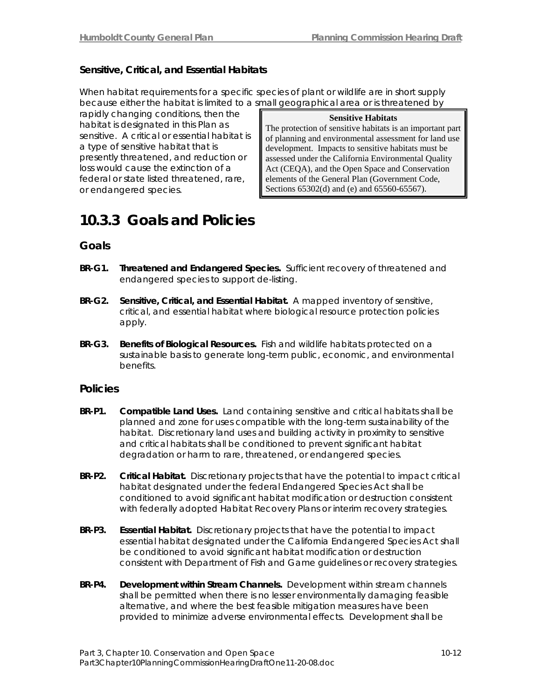### **Sensitive, Critical, and Essential Habitats**

When habitat requirements for a specific species of plant or wildlife are in short supply because either the habitat is limited to a small geographical area or is threatened by

rapidly changing conditions, then the habitat is designated in this Plan as *sensitive*. A *critical* or *essential* habitat is a type of sensitive habitat that is presently threatened, and reduction or loss would cause the extinction of a federal or state listed threatened, rare, or endangered species.

**Sensitive Habitats**  The protection of sensitive habitats is an important part of planning and environmental assessment for land use development. Impacts to sensitive habitats must be assessed under the California Environmental Quality Act (CEQA), and the Open Space and Conservation elements of the General Plan (Government Code, Sections 65302(d) and (e) and 65560-65567).

# **10.3.3 Goals and Policies**

### **Goals**

- **BR-G1. Threatened and Endangered Species.** Sufficient recovery of threatened and endangered species to support de-listing.
- **BR-G2. Sensitive, Critical, and Essential Habitat.** A mapped inventory of sensitive, critical, and essential habitat where biological resource protection policies apply.
- **BR-G3. Benefits of Biological Resources.** Fish and wildlife habitats protected on a sustainable basis to generate long-term public, economic, and environmental benefits.

### **Policies**

- **BR-P1. Compatible Land Uses.** Land containing sensitive and critical habitats shall be planned and zone for uses compatible with the long-term sustainability of the habitat. Discretionary land uses and building activity in proximity to sensitive and critical habitats shall be conditioned to prevent significant habitat degradation or harm to rare, threatened, or endangered species.
- **BR-P2. Critical Habitat.** Discretionary projects that have the potential to impact critical habitat designated under the federal Endangered Species Act shall be conditioned to avoid significant habitat modification or destruction consistent with federally adopted Habitat Recovery Plans or interim recovery strategies.
- **BR-P3. Essential Habitat.** Discretionary projects that have the potential to impact essential habitat designated under the California Endangered Species Act shall be conditioned to avoid significant habitat modification or destruction consistent with Department of Fish and Game guidelines or recovery strategies.
- **BR-P4. Development within Stream Channels.** Development within stream channels shall be permitted when there is no lesser environmentally damaging feasible alternative, and where the best feasible mitigation measures have been provided to minimize adverse environmental effects. Development shall be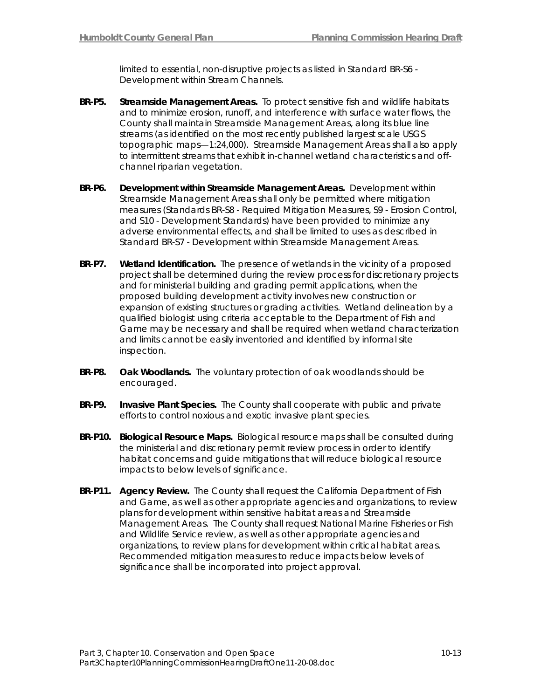limited to essential, non-disruptive projects as listed in Standard BR-S6 - Development within Stream Channels.

- **BR-P5. Streamside Management Areas.** To protect sensitive fish and wildlife habitats and to minimize erosion, runoff, and interference with surface water flows, the County shall maintain Streamside Management Areas, along its blue line streams (as identified on the most recently published largest scale USGS topographic maps—1:24,000). Streamside Management Areas shall also apply to intermittent streams that exhibit in-channel wetland characteristics and offchannel riparian vegetation.
- **BR-P6. Development within Streamside Management Areas.** Development within Streamside Management Areas shall only be permitted where mitigation measures (Standards BR-S8 - Required Mitigation Measures, S9 - Erosion Control, and S10 - Development Standards) have been provided to minimize any adverse environmental effects, and shall be limited to uses as described in Standard BR-S7 - Development within Streamside Management Areas.
- **BR-P7. Wetland Identification.** The presence of wetlands in the vicinity of a proposed project shall be determined during the review process for discretionary projects and for ministerial building and grading permit applications, when the proposed building development activity involves new construction or expansion of existing structures or grading activities. Wetland delineation by a qualified biologist using criteria acceptable to the Department of Fish and Game may be necessary and shall be required when wetland characterization and limits cannot be easily inventoried and identified by informal site inspection.
- **BR-P8. Oak Woodlands.** The voluntary protection of oak woodlands should be encouraged.
- **BR-P9. Invasive Plant Species.** The County shall cooperate with public and private efforts to control noxious and exotic invasive plant species.
- **BR-P10. Biological Resource Maps.** Biological resource maps shall be consulted during the ministerial and discretionary permit review process in order to identify habitat concerns and guide mitigations that will reduce biological resource impacts to below levels of significance.
- **BR-P11. Agency Review.** The County shall request the California Department of Fish and Game, as well as other appropriate agencies and organizations, to review plans for development within sensitive habitat areas and Streamside Management Areas. The County shall request National Marine Fisheries or Fish and Wildlife Service review, as well as other appropriate agencies and organizations, to review plans for development within critical habitat areas. Recommended mitigation measures to reduce impacts below levels of significance shall be incorporated into project approval.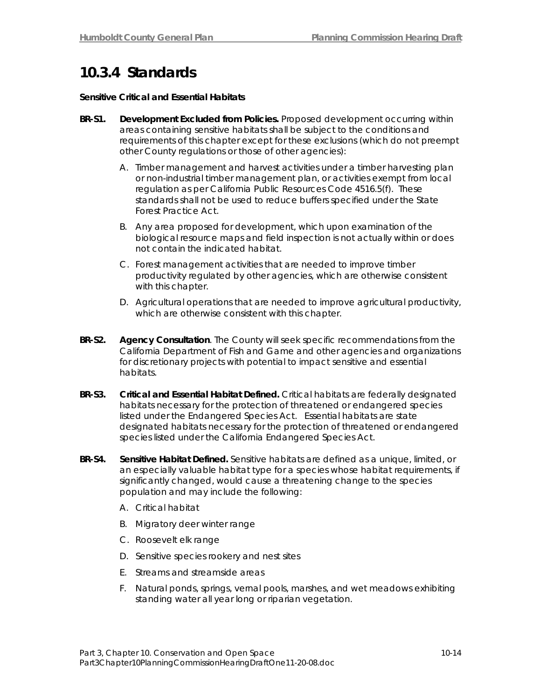# **10.3.4 Standards**

#### **Sensitive Critical and Essential Habitats**

- **BR-S1. Development Excluded from Policies.** Proposed development occurring within areas containing sensitive habitats shall be subject to the conditions and requirements of this chapter except for these exclusions (which do not preempt other County regulations or those of other agencies):
	- A. Timber management and harvest activities under a timber harvesting plan or non-industrial timber management plan, or activities exempt from local regulation as per California Public Resources Code 4516.5(f). These standards shall not be used to reduce buffers specified under the State Forest Practice Act.
	- B. Any area proposed for development, which upon examination of the biological resource maps and field inspection is not actually within or does not contain the indicated habitat.
	- C. Forest management activities that are needed to improve timber productivity regulated by other agencies, which are otherwise consistent with this chapter.
	- D. Agricultural operations that are needed to improve agricultural productivity, which are otherwise consistent with this chapter.
- **BR-S2. Agency Consultation**. The County will seek specific recommendations from the California Department of Fish and Game and other agencies and organizations for discretionary projects with potential to impact sensitive and essential habitats.
- **BR-S3. Critical and Essential Habitat Defined.** Critical habitats are federally designated habitats necessary for the protection of threatened or endangered species listed under the Endangered Species Act. Essential habitats are state designated habitats necessary for the protection of threatened or endangered species listed under the California Endangered Species Act.
- **BR-S4. Sensitive Habitat Defined.** Sensitive habitats are defined as a unique, limited, or an especially valuable habitat type for a species whose habitat requirements, if significantly changed, would cause a threatening change to the species population and may include the following:
	- A. Critical habitat
	- B. Migratory deer winter range
	- C. Roosevelt elk range
	- D. Sensitive species rookery and nest sites
	- E. Streams and streamside areas
	- F. Natural ponds, springs, vernal pools, marshes, and wet meadows exhibiting standing water all year long or riparian vegetation.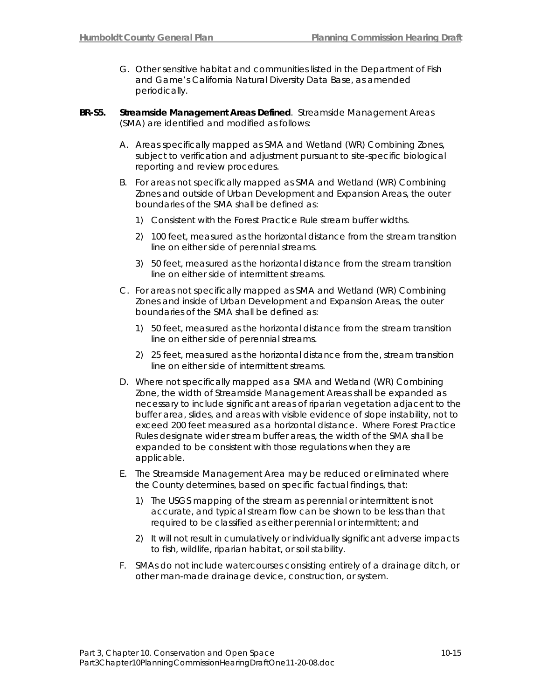- G. Other sensitive habitat and communities listed in the Department of Fish and Game's California Natural Diversity Data Base, as amended periodically.
- **BR-S5. Streamside Management Areas Defined**. Streamside Management Areas (SMA) are identified and modified as follows:
	- A. Areas specifically mapped as SMA and Wetland (WR) Combining Zones, subject to verification and adjustment pursuant to site-specific biological reporting and review procedures.
	- B. For areas not specifically mapped as SMA and Wetland (WR) Combining Zones and outside of Urban Development and Expansion Areas, the outer boundaries of the SMA shall be defined as:
		- 1) Consistent with the Forest Practice Rule stream buffer widths.
		- 2) 100 feet, measured as the horizontal distance from the stream transition line on either side of perennial streams.
		- 3) 50 feet, measured as the horizontal distance from the stream transition line on either side of intermittent streams.
	- C. For areas not specifically mapped as SMA and Wetland (WR) Combining Zones and inside of Urban Development and Expansion Areas, the outer boundaries of the SMA shall be defined as:
		- 1) 50 feet, measured as the horizontal distance from the stream transition line on either side of perennial streams.
		- 2) 25 feet, measured as the horizontal distance from the, stream transition line on either side of intermittent streams.
	- D. Where not specifically mapped as a SMA and Wetland (WR) Combining Zone, the width of Streamside Management Areas shall be expanded as necessary to include significant areas of riparian vegetation adjacent to the buffer area, slides, and areas with visible evidence of slope instability, not to exceed 200 feet measured as a horizontal distance. Where Forest Practice Rules designate wider stream buffer areas, the width of the SMA shall be expanded to be consistent with those regulations when they are applicable.
	- E. The Streamside Management Area may be reduced or eliminated where the County determines, based on specific factual findings, that:
		- 1) The USGS mapping of the stream as perennial or intermittent is not accurate, and typical stream flow can be shown to be less than that required to be classified as either perennial or intermittent; and
		- 2) It will not result in cumulatively or individually significant adverse impacts to fish, wildlife, riparian habitat, or soil stability.
	- F. SMAs do not include watercourses consisting entirely of a drainage ditch, or other man-made drainage device, construction, or system.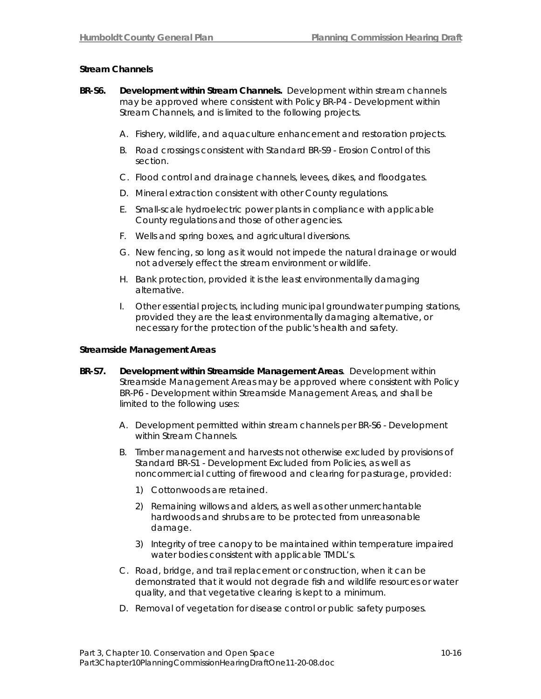#### **Stream Channels**

- **BR-S6. Development within Stream Channels.** Development within stream channels may be approved where consistent with Policy BR-P4 - Development within Stream Channels, and is limited to the following projects.
	- A. Fishery, wildlife, and aquaculture enhancement and restoration projects.
	- B. Road crossings consistent with Standard BR-S9 Erosion Control of this section.
	- C. Flood control and drainage channels, levees, dikes, and floodgates.
	- D. Mineral extraction consistent with other County regulations.
	- E. Small-scale hydroelectric power plants in compliance with applicable County regulations and those of other agencies.
	- F. Wells and spring boxes, and agricultural diversions.
	- G. New fencing, so long as it would not impede the natural drainage or would not adversely effect the stream environment or wildlife.
	- H. Bank protection, provided it is the least environmentally damaging alternative.
	- I. Other essential projects, including municipal groundwater pumping stations, provided they are the least environmentally damaging alternative, or necessary for the protection of the public's health and safety.

#### **Streamside Management Areas**

- **BR-S7. Development within Streamside Management Areas**. Development within Streamside Management Areas may be approved where consistent with Policy BR-P6 - Development within Streamside Management Areas, and shall be limited to the following uses:
	- A. Development permitted within stream channels per BR-S6 Development within Stream Channels.
	- B. Timber management and harvests not otherwise excluded by provisions of Standard BR-S1 - Development Excluded from Policies, as well as noncommercial cutting of firewood and clearing for pasturage, provided:
		- 1) Cottonwoods are retained.
		- 2) Remaining willows and alders, as well as other unmerchantable hardwoods and shrubs are to be protected from unreasonable damage.
		- 3) Integrity of tree canopy to be maintained within temperature impaired water bodies consistent with applicable TMDL's.
	- C. Road, bridge, and trail replacement or construction, when it can be demonstrated that it would not degrade fish and wildlife resources or water quality, and that vegetative clearing is kept to a minimum.
	- D. Removal of vegetation for disease control or public safety purposes.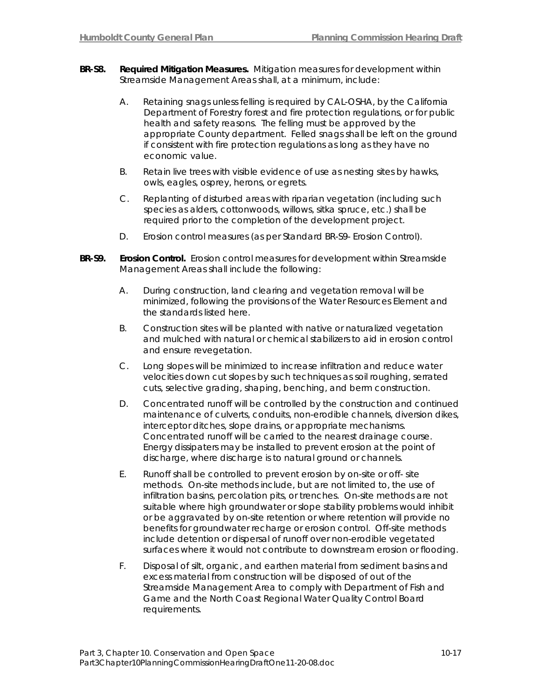- **BR-S8. Required Mitigation Measures.** Mitigation measures for development within Streamside Management Areas shall, at a minimum, include:
	- A. Retaining snags unless felling is required by CAL-OSHA, by the California Department of Forestry forest and fire protection regulations, or for public health and safety reasons. The felling must be approved by the appropriate County department. Felled snags shall be left on the ground if consistent with fire protection regulations as long as they have no economic value.
	- B. Retain live trees with visible evidence of use as nesting sites by hawks, owls, eagles, osprey, herons, or egrets.
	- C. Replanting of disturbed areas with riparian vegetation (including such species as alders, cottonwoods, willows, sitka spruce, etc.) shall be required prior to the completion of the development project.
	- D. Erosion control measures (as per Standard BR-S9- Erosion Control).
- **BR-S9. Erosion Control.** Erosion control measures for development within Streamside Management Areas shall include the following:
	- A. During construction, land clearing and vegetation removal will be minimized, following the provisions of the Water Resources Element and the standards listed here.
	- B. Construction sites will be planted with native or naturalized vegetation and mulched with natural or chemical stabilizers to aid in erosion control and ensure revegetation.
	- C. Long slopes will be minimized to increase infiltration and reduce water velocities down cut slopes by such techniques as soil roughing, serrated cuts, selective grading, shaping, benching, and berm construction.
	- D. Concentrated runoff will be controlled by the construction and continued maintenance of culverts, conduits, non-erodible channels, diversion dikes, interceptor ditches, slope drains, or appropriate mechanisms. Concentrated runoff will be carried to the nearest drainage course. Energy dissipaters may be installed to prevent erosion at the point of discharge, where discharge is to natural ground or channels.
	- E. Runoff shall be controlled to prevent erosion by on-site or off- site methods. On-site methods include, but are not limited to, the use of infiltration basins, percolation pits, or trenches. On-site methods are not suitable where high groundwater or slope stability problems would inhibit or be aggravated by on-site retention or where retention will provide no benefits for groundwater recharge or erosion control. Off-site methods include detention or dispersal of runoff over non-erodible vegetated surfaces where it would not contribute to downstream erosion or flooding.
	- F. Disposal of silt, organic, and earthen material from sediment basins and excess material from construction will be disposed of out of the Streamside Management Area to comply with Department of Fish and Game and the North Coast Regional Water Quality Control Board requirements.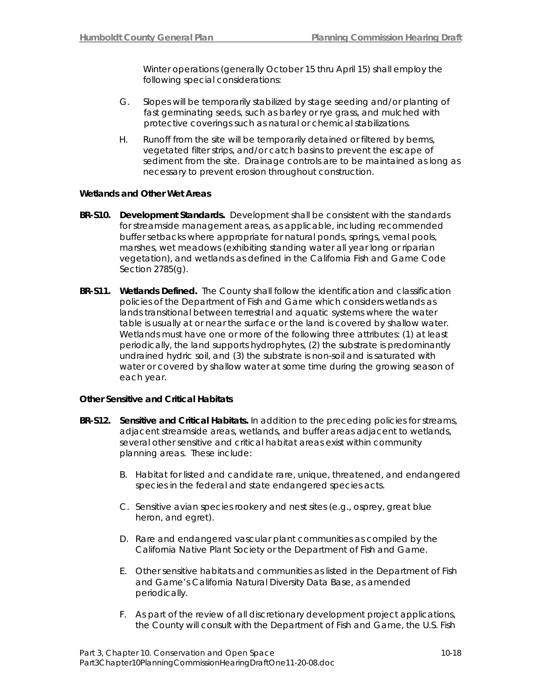Winter operations (generally October 15 thru April 15) shall employ the following special considerations:

- G. Slopes will be temporarily stabilized by stage seeding and/or planting of fast germinating seeds, such as barley or rye grass, and mulched with protective coverings such as natural or chemical stabilizations.
- H. Runoff from the site will be temporarily detained or filtered by berms, vegetated filter strips, and/or catch basins to prevent the escape of sediment from the site. Drainage controls are to be maintained as long as necessary to prevent erosion throughout construction.

#### **Wetlands and Other Wet Areas**

- **BR-S10. Development Standards.** Development shall be consistent with the standards for streamside management areas, as applicable, including recommended buffer setbacks where appropriate for natural ponds, springs, vernal pools, marshes, wet meadows (exhibiting standing water all year long or riparian vegetation), and wetlands as defined in the California Fish and Game Code Section 2785(g).
- **BR-S11. Wetlands Defined.** The County shall follow the identification and classification policies of the Department of Fish and Game which considers wetlands as lands transitional between terrestrial and aquatic systems where the water table is usually at or near the surface or the land is covered by shallow water. Wetlands must have one or more of the following three attributes: (1) at least periodically, the land supports hydrophytes, (2) the substrate is predominantly undrained hydric soil, and (3) the substrate is non-soil and is saturated with water or covered by shallow water at some time during the growing season of each year.

#### **Other Sensitive and Critical Habitats**

- **BR-S12. Sensitive and Critical Habitats.** In addition to the preceding policies for streams, adjacent streamside areas, wetlands, and buffer areas adjacent to wetlands, several other sensitive and critical habitat areas exist within community planning areas. These include:
	- B. Habitat for listed and candidate rare, unique, threatened, and endangered species in the federal and state endangered species acts.
	- C. Sensitive avian species rookery and nest sites (e.g., osprey, great blue heron, and egret).
	- D. Rare and endangered vascular plant communities as compiled by the California Native Plant Society or the Department of Fish and Game.
	- E. Other sensitive habitats and communities as listed in the Department of Fish and Game's California Natural Diversity Data Base, as amended periodically.
	- F. As part of the review of all discretionary development project applications, the County will consult with the Department of Fish and Game, the U.S. Fish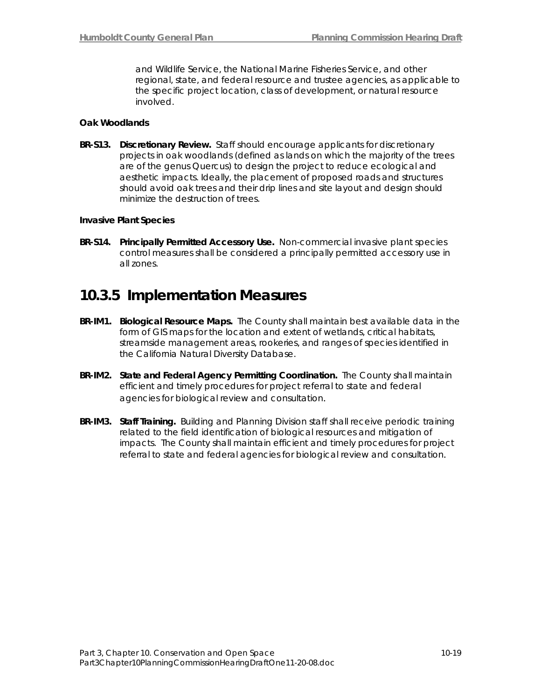and Wildlife Service, the National Marine Fisheries Service, and other regional, state, and federal resource and trustee agencies, as applicable to the specific project location, class of development, or natural resource involved.

#### **Oak Woodlands**

**BR-S13. Discretionary Review.** Staff should encourage applicants for discretionary projects in oak woodlands (defined as lands on which the majority of the trees are of the genus *Quercus*) to design the project to reduce ecological and aesthetic impacts. Ideally, the placement of proposed roads and structures should avoid oak trees and their drip lines and site layout and design should minimize the destruction of trees.

#### **Invasive Plant Species**

**BR-S14. Principally Permitted Accessory Use.** Non-commercial invasive plant species control measures shall be considered a principally permitted accessory use in all zones.

### **10.3.5 Implementation Measures**

- **BR-IM1. Biological Resource Maps.** The County shall maintain best available data in the form of GIS maps for the location and extent of wetlands, critical habitats, streamside management areas, rookeries, and ranges of species identified in the California Natural Diversity Database.
- **BR-IM2. State and Federal Agency Permitting Coordination.** The County shall maintain efficient and timely procedures for project referral to state and federal agencies for biological review and consultation.
- **BR-IM3. Staff Training.** Building and Planning Division staff shall receive periodic training related to the field identification of biological resources and mitigation of impacts. The County shall maintain efficient and timely procedures for project referral to state and federal agencies for biological review and consultation.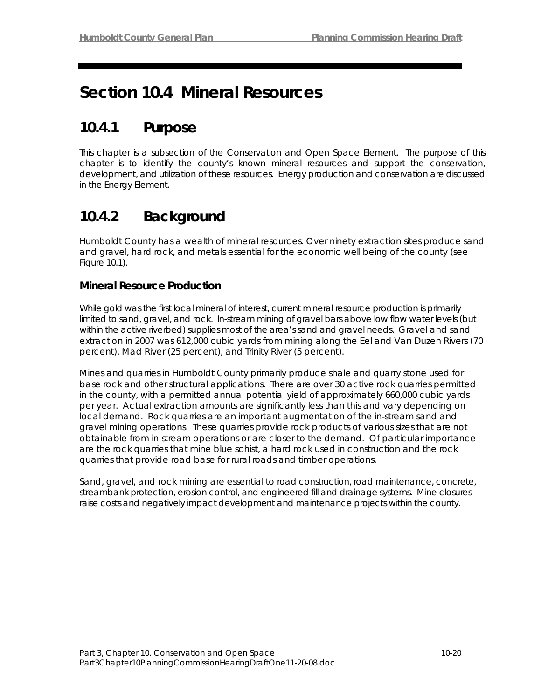# **Section 10.4 Mineral Resources**

# **10.4.1 Purpose**

This chapter is a subsection of the Conservation and Open Space Element. The purpose of this chapter is to identify the county's known mineral resources and support the conservation, development, and utilization of these resources. Energy production and conservation are discussed in the Energy Element.

# **10.4.2 Background**

Humboldt County has a wealth of mineral resources. Over ninety extraction sites produce sand and gravel, hard rock, and metals essential for the economic well being of the county (see Figure 10.1).

### **Mineral Resource Production**

While gold was the first local mineral of interest, current mineral resource production is primarily limited to sand, gravel, and rock. In-stream mining of gravel bars above low flow water levels (but within the active riverbed) supplies most of the area's sand and gravel needs. Gravel and sand extraction in 2007 was 612,000 cubic yards from mining along the Eel and Van Duzen Rivers (70 percent), Mad River (25 percent), and Trinity River (5 percent).

Mines and quarries in Humboldt County primarily produce shale and quarry stone used for base rock and other structural applications. There are over 30 active rock quarries permitted in the county, with a permitted annual potential yield of approximately 660,000 cubic yards per year. Actual extraction amounts are significantly less than this and vary depending on local demand. Rock quarries are an important augmentation of the in-stream sand and gravel mining operations. These quarries provide rock products of various sizes that are not obtainable from in-stream operations or are closer to the demand. Of particular importance are the rock quarries that mine blue schist, a hard rock used in construction and the rock quarries that provide road base for rural roads and timber operations.

Sand, gravel, and rock mining are essential to road construction, road maintenance, concrete, streambank protection, erosion control, and engineered fill and drainage systems. Mine closures raise costs and negatively impact development and maintenance projects within the county.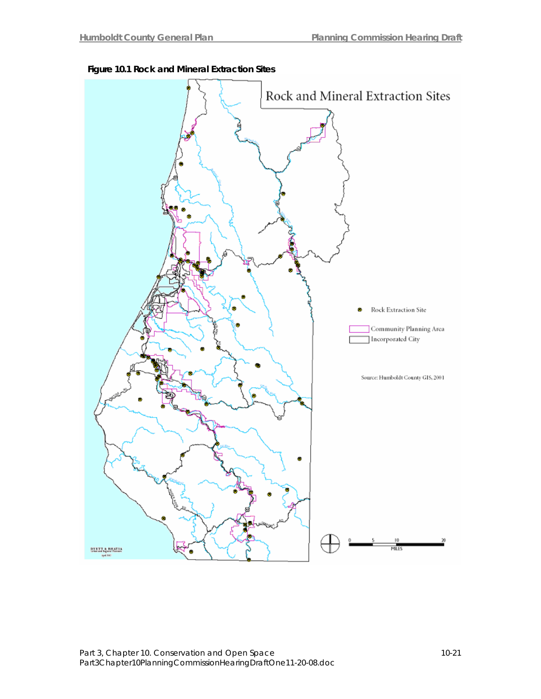

**Figure 10.1 Rock and Mineral Extraction Sites**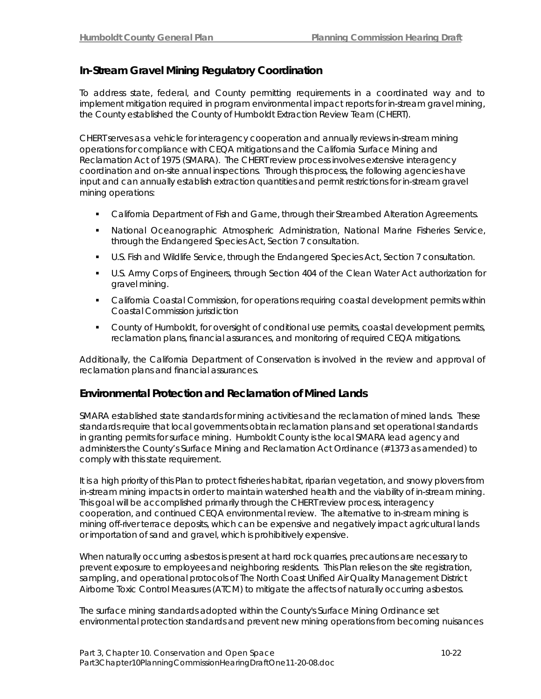### **In-Stream Gravel Mining Regulatory Coordination**

To address state, federal, and County permitting requirements in a coordinated way and to implement mitigation required in program environmental impact reports for in-stream gravel mining, the County established the County of Humboldt Extraction Review Team (CHERT).

CHERT serves as a vehicle for interagency cooperation and annually reviews in-stream mining operations for compliance with CEQA mitigations and the California Surface Mining and Reclamation Act of 1975 (SMARA). The CHERT review process involves extensive interagency coordination and on-site annual inspections. Through this process, the following agencies have input and can annually establish extraction quantities and permit restrictions for in-stream gravel mining operations:

- **California Department of Fish and Game, through their Streambed Alteration Agreements.**
- National Oceanographic Atmospheric Administration, National Marine Fisheries Service, through the Endangered Species Act, Section 7 consultation.
- **U.S. Fish and Wildlife Service, through the Endangered Species Act, Section 7 consultation.**
- U.S. Army Corps of Engineers, through Section 404 of the Clean Water Act authorization for gravel mining.
- California Coastal Commission, for operations requiring coastal development permits within Coastal Commission jurisdiction
- County of Humboldt, for oversight of conditional use permits, coastal development permits, reclamation plans, financial assurances, and monitoring of required CEQA mitigations.

Additionally, the California Department of Conservation is involved in the review and approval of reclamation plans and financial assurances.

### **Environmental Protection and Reclamation of Mined Lands**

SMARA established state standards for mining activities and the reclamation of mined lands. These standards require that local governments obtain reclamation plans and set operational standards in granting permits for surface mining. Humboldt County is the local SMARA lead agency and administers the County's Surface Mining and Reclamation Act Ordinance (#1373 as amended) to comply with this state requirement.

It is a high priority of this Plan to protect fisheries habitat, riparian vegetation, and snowy plovers from in-stream mining impacts in order to maintain watershed health and the viability of in-stream mining. This goal will be accomplished primarily through the CHERT review process, interagency cooperation, and continued CEQA environmental review. The alternative to in-stream mining is mining off-river terrace deposits, which can be expensive and negatively impact agricultural lands or importation of sand and gravel, which is prohibitively expensive.

When naturally occurring asbestos is present at hard rock quarries, precautions are necessary to prevent exposure to employees and neighboring residents. This Plan relies on the site registration, sampling, and operational protocols of The North Coast Unified Air Quality Management District Airborne Toxic Control Measures (ATCM) to mitigate the affects of naturally occurring asbestos.

The surface mining standards adopted within the County's Surface Mining Ordinance set environmental protection standards and prevent new mining operations from becoming nuisances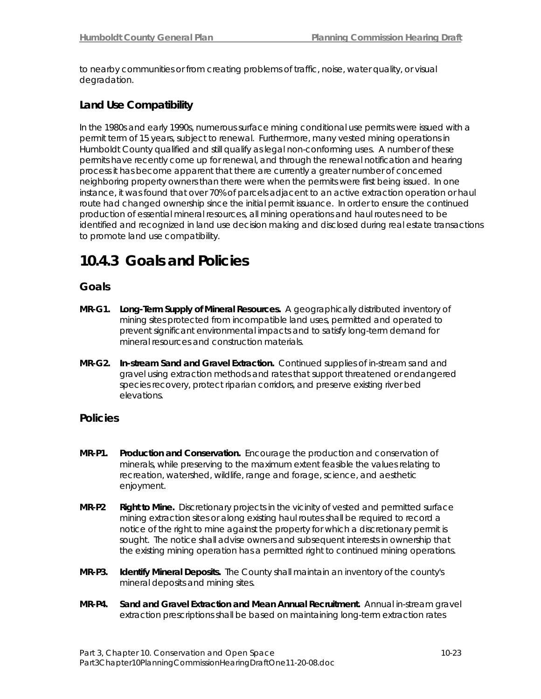to nearby communities or from creating problems of traffic, noise, water quality, or visual degradation.

### **Land Use Compatibility**

In the 1980s and early 1990s, numerous surface mining conditional use permits were issued with a permit term of 15 years, subject to renewal. Furthermore, many vested mining operations in Humboldt County qualified and still qualify as legal non-conforming uses*.* A number of these permits have recently come up for renewal, and through the renewal notification and hearing process it has become apparent that there are currently a greater number of concerned neighboring property owners than there were when the permits were first being issued. In one instance, it was found that over 70% of parcels adjacent to an active extraction operation or haul route had changed ownership since the initial permit issuance. In order to ensure the continued production of essential mineral resources, all mining operations and haul routes need to be identified and recognized in land use decision making and disclosed during real estate transactions to promote land use compatibility*.*

### **10.4.3 Goals and Policies**

### **Goals**

- **MR-G1. Long-Term Supply of Mineral Resources.** A geographically distributed inventory of mining sites protected from incompatible land uses, permitted and operated to prevent significant environmental impacts and to satisfy long-term demand for mineral resources and construction materials.
- **MR-G2. In-stream Sand and Gravel Extraction.** Continued supplies of in-stream sand and gravel using extraction methods and rates that support threatened or endangered species recovery, protect riparian corridors, and preserve existing river bed elevations.

### **Policies**

- **MR-P1. Production and Conservation.** Encourage the production and conservation of minerals, while preserving to the maximum extent feasible the values relating to recreation, watershed, wildlife, range and forage, science, and aesthetic enjoyment.
- **MR-P2 Right to Mine.** Discretionary projects in the vicinity of vested and permitted surface mining extraction sites or along existing haul routes shall be required to record a notice of the right to mine against the property for which a discretionary permit is sought. The notice shall advise owners and subsequent interests in ownership that the existing mining operation has a permitted right to continued mining operations.
- **MR-P3. Identify Mineral Deposits.** The County shall maintain an inventory of the county's mineral deposits and mining sites.
- **MR-P4. Sand and Gravel Extraction and Mean Annual Recruitment.** Annual in-stream gravel extraction prescriptions shall be based on maintaining long-term extraction rates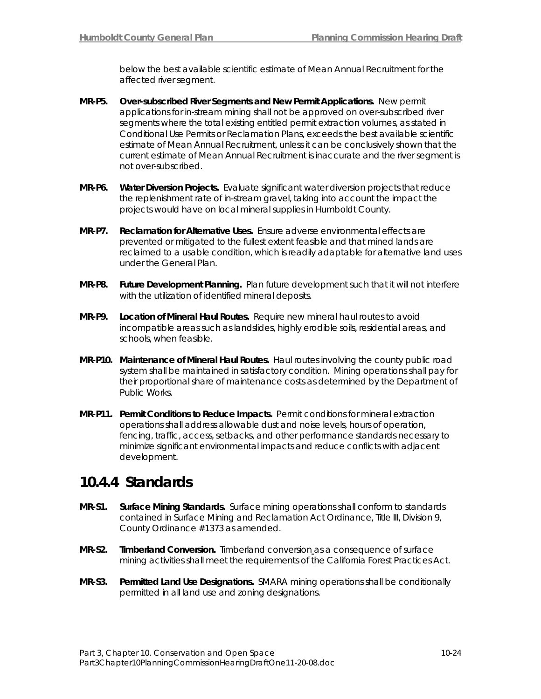below the best available scientific estimate of Mean Annual Recruitment for the affected river segment.

- **MR-P5. Over-subscribed River Segments and New Permit Applications.** New permit applications for in-stream mining shall not be approved on over-subscribed river segments where the total existing entitled permit extraction volumes, as stated in Conditional Use Permits or Reclamation Plans, exceeds the best available scientific estimate of Mean Annual Recruitment, unless it can be conclusively shown that the current estimate of Mean Annual Recruitment is inaccurate and the river segment is not over-subscribed.
- **MR-P6. Water Diversion Projects.** Evaluate significant water diversion projects that reduce the replenishment rate of in-stream gravel, taking into account the impact the projects would have on local mineral supplies in Humboldt County.
- **MR-P7. Reclamation for Alternative Uses.** Ensure adverse environmental effects are prevented or mitigated to the fullest extent feasible and that mined lands are reclaimed to a usable condition, which is readily adaptable for alternative land uses under the General Plan.
- **MR-P8. Future Development Planning.** Plan future development such that it will not interfere with the utilization of identified mineral deposits.
- **MR-P9. Location of Mineral Haul Routes.** Require new mineral haul routes to avoid incompatible areas such as landslides, highly erodible soils, residential areas, and schools, when feasible.
- **MR-P10. Maintenance of Mineral Haul Routes.** Haul routes involving the county public road system shall be maintained in satisfactory condition. Mining operations shall pay for their proportional share of maintenance costs as determined by the Department of Public Works.
- **MR-P11. Permit Conditions to Reduce Impacts.** Permit conditions for mineral extraction operations shall address allowable dust and noise levels, hours of operation, fencing, traffic, access, setbacks, and other performance standards necessary to minimize significant environmental impacts and reduce conflicts with adjacent development.

### **10.4.4 Standards**

- **MR-S1. Surface Mining Standards.** Surface mining operations shall conform to standards contained in Surface Mining and Reclamation Act Ordinance, Title III, Division 9, County Ordinance #1373 as amended.
- **MR-S2. Timberland Conversion.** Timberland conversion as a consequence of surface mining activities shall meet the requirements of the California Forest Practices Act.
- **MR-S3. Permitted Land Use Designations.** SMARA mining operations shall be conditionally permitted in all land use and zoning designations.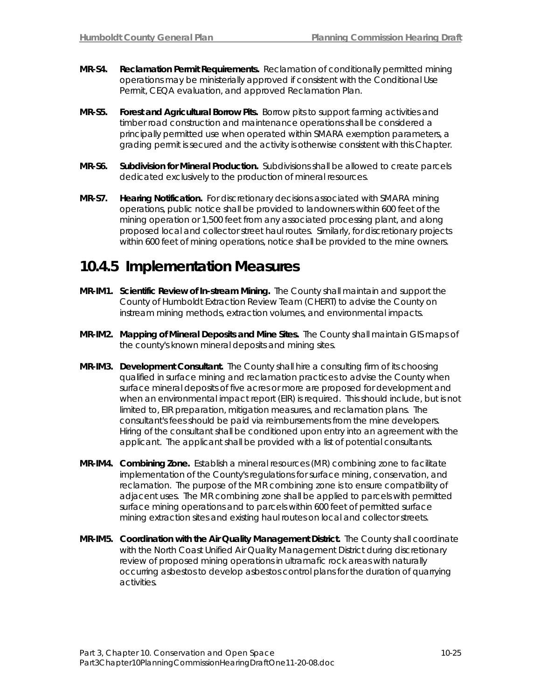- **MR-S4. Reclamation Permit Requirements.** Reclamation of conditionally permitted mining operations may be ministerially approved if consistent with the Conditional Use Permit, CEQA evaluation, and approved Reclamation Plan.
- **MR-S5. Forest and Agricultural Borrow Pits.** Borrow pits to support farming activities and timber road construction and maintenance operations shall be considered a principally permitted use when operated within SMARA exemption parameters, a grading permit is secured and the activity is otherwise consistent with this Chapter.
- **MR-S6. Subdivision for Mineral Production.** Subdivisions shall be allowed to create parcels dedicated exclusively to the production of mineral resources.
- **MR-S7. Hearing Notification.** For discretionary decisions associated with SMARA mining operations, public notice shall be provided to landowners within 600 feet of the mining operation or 1,500 feet from any associated processing plant, and along proposed local and collector street haul routes. Similarly, for discretionary projects within 600 feet of mining operations, notice shall be provided to the mine owners.

### **10.4.5 Implementation Measures**

- **MR-IM1. Scientific Review of In-stream Mining.** The County shall maintain and support the County of Humboldt Extraction Review Team (CHERT) to advise the County on instream mining methods, extraction volumes, and environmental impacts.
- **MR-IM2. Mapping of Mineral Deposits and Mine Sites.** The County shall maintain GIS maps of the county's known mineral deposits and mining sites.
- **MR-IM3. Development Consultant.** The County shall hire a consulting firm of its choosing qualified in surface mining and reclamation practices to advise the County when surface mineral deposits of five acres or more are proposed for development and when an environmental impact report (EIR) is required. This should include, but is not limited to, EIR preparation, mitigation measures, and reclamation plans. The consultant's fees should be paid via reimbursements from the mine developers. Hiring of the consultant shall be conditioned upon entry into an agreement with the applicant. The applicant shall be provided with a list of potential consultants.
- **MR-IM4. Combining Zone.** Establish a mineral resources (MR) combining zone to facilitate implementation of the County's regulations for surface mining, conservation, and reclamation. The purpose of the MR combining zone is to ensure compatibility of adjacent uses. The MR combining zone shall be applied to parcels with permitted surface mining operations and to parcels within 600 feet of permitted surface mining extraction sites and existing haul routes on local and collector streets.
- **MR-IM5. Coordination with the Air Quality Management District.** The County shall coordinate with the North Coast Unified Air Quality Management District during discretionary review of proposed mining operations in ultramafic rock areas with naturally occurring asbestos to develop asbestos control plans for the duration of quarrying activities.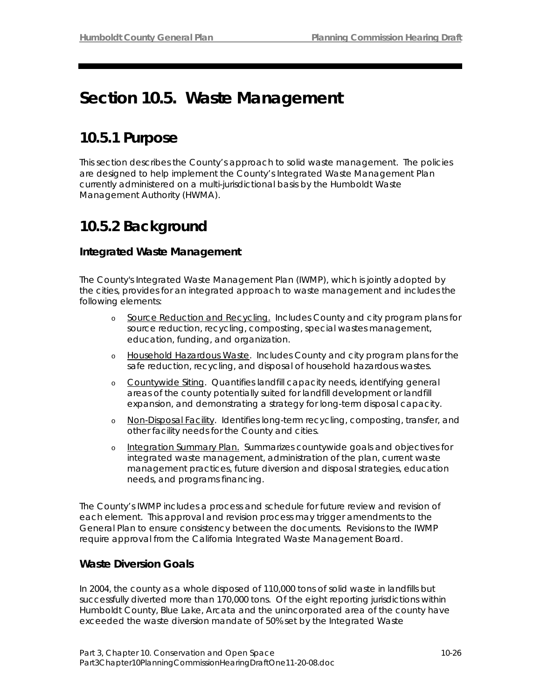# **Section 10.5. Waste Management**

### **10.5.1 Purpose**

This section describes the County's approach to solid waste management. The policies are designed to help implement the County's Integrated Waste Management Plan currently administered on a multi-jurisdictional basis by the Humboldt Waste Management Authority (HWMA).

### **10.5.2 Background**

### **Integrated Waste Management**

The County's Integrated Waste Management Plan (IWMP), which is jointly adopted by the cities, provides for an integrated approach to waste management and includes the following elements:

- o Source Reduction and Recycling. Includes County and city program plans for source reduction, recycling, composting, special wastes management, education, funding, and organization.
- o Household Hazardous Waste. Includes County and city program plans for the safe reduction, recycling, and disposal of household hazardous wastes.
- o Countywide Siting. Quantifies landfill capacity needs, identifying general areas of the county potentially suited for landfill development or landfill expansion, and demonstrating a strategy for long-term disposal capacity.
- o Non-Disposal Facility. Identifies long-term recycling, composting, transfer, and other facility needs for the County and cities.
- o Integration Summary Plan. Summarizes countywide goals and objectives for integrated waste management, administration of the plan, current waste management practices, future diversion and disposal strategies, education needs, and programs financing.

The County's IWMP includes a process and schedule for future review and revision of each element. This approval and revision process may trigger amendments to the General Plan to ensure consistency between the documents. Revisions to the IWMP require approval from the California Integrated Waste Management Board.

### **Waste Diversion Goals**

In 2004, the county as a whole disposed of 110,000 tons of solid waste in landfills but successfully diverted more than 170,000 tons. Of the eight reporting jurisdictions within Humboldt County, Blue Lake, Arcata and the unincorporated area of the county have exceeded the waste diversion mandate of 50% set by the Integrated Waste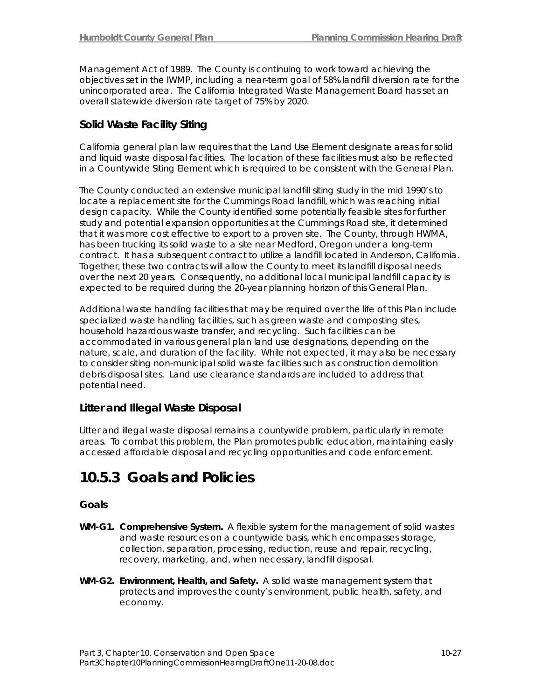Management Act of 1989. The County is continuing to work toward achieving the objectives set in the IWMP, including a near-term goal of 58% landfill diversion rate for the unincorporated area. The California Integrated Waste Management Board has set an overall statewide diversion rate target of 75% by 2020.

### **Solid Waste Facility Siting**

California general plan law requires that the Land Use Element designate areas for solid and liquid waste disposal facilities. The location of these facilities must also be reflected in a Countywide Siting Element which is required to be consistent with the General Plan.

The County conducted an extensive municipal landfill siting study in the mid 1990's to locate a replacement site for the Cummings Road landfill, which was reaching initial design capacity. While the County identified some potentially feasible sites for further study and potential expansion opportunities at the Cummings Road site, it determined that it was more cost effective to export to a proven site. The County, through HWMA, has been trucking its solid waste to a site near Medford, Oregon under a long-term contract. It has a subsequent contract to utilize a landfill located in Anderson, California. Together, these two contracts will allow the County to meet its landfill disposal needs over the next 20 years. Consequently, no additional local municipal landfill capacity is expected to be required during the 20-year planning horizon of this General Plan.

Additional waste handling facilities that may be required over the life of this Plan include specialized waste handling facilities, such as green waste and composting sites, household hazardous waste transfer, and recycling. Such facilities can be accommodated in various general plan land use designations, depending on the nature, scale, and duration of the facility. While not expected, it may also be necessary to consider siting non-municipal solid waste facilities such as construction demolition debris disposal sites. Land use clearance standards are included to address that potential need.

### **Litter and Illegal Waste Disposal**

Litter and illegal waste disposal remains a countywide problem, particularly in remote areas. To combat this problem, the Plan promotes public education, maintaining easily accessed affordable disposal and recycling opportunities and code enforcement.

### **10.5.3 Goals and Policies**

### **Goals**

- **WM-G1. Comprehensive System.** A flexible system for the management of solid wastes and waste resources on a countywide basis, which encompasses storage, collection, separation, processing, reduction, reuse and repair, recycling, recovery, marketing, and, when necessary, landfill disposal.
- **WM-G2. Environment, Health, and Safety.** A solid waste management system that protects and improves the county's environment, public health, safety, and economy.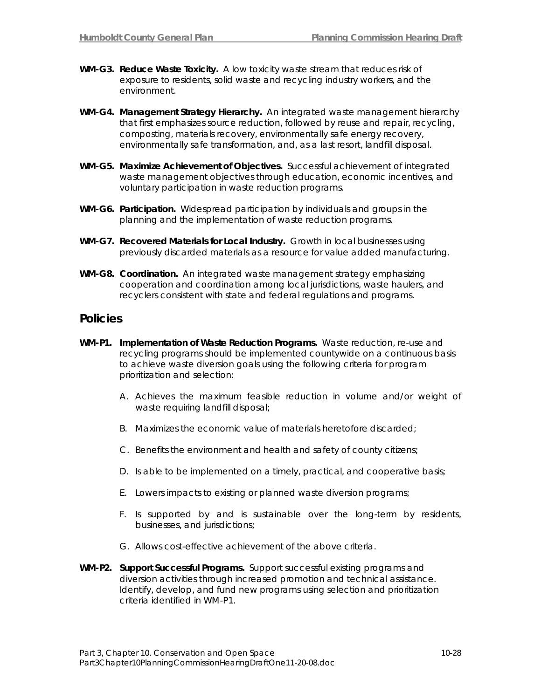- **WM-G3. Reduce Waste Toxicity.** A low toxicity waste stream that reduces risk of exposure to residents, solid waste and recycling industry workers, and the environment.
- **WM-G4. Management Strategy Hierarchy.** An integrated waste management hierarchy that first emphasizes source reduction, followed by reuse and repair, recycling, composting, materials recovery, environmentally safe energy recovery, environmentally safe transformation, and, as a last resort, landfill disposal.
- **WM-G5. Maximize Achievement of Objectives.** Successful achievement of integrated waste management objectives through education, economic incentives, and voluntary participation in waste reduction programs.
- **WM-G6. Participation.** Widespread participation by individuals and groups in the planning and the implementation of waste reduction programs.
- **WM-G7. Recovered Materials for Local Industry.** Growth in local businesses using previously discarded materials as a resource for value added manufacturing.
- **WM-G8. Coordination.** An integrated waste management strategy emphasizing cooperation and coordination among local jurisdictions, waste haulers, and recyclers consistent with state and federal regulations and programs.

### **Policies**

- **WM-P1. Implementation of Waste Reduction Programs.** Waste reduction, re-use and recycling programs should be implemented countywide on a continuous basis to achieve waste diversion goals using the following criteria for program prioritization and selection:
	- A. Achieves the maximum feasible reduction in volume and/or weight of waste requiring landfill disposal;
	- B. Maximizes the economic value of materials heretofore discarded;
	- C. Benefits the environment and health and safety of county citizens;
	- D. Is able to be implemented on a timely, practical, and cooperative basis;
	- E. Lowers impacts to existing or planned waste diversion programs;
	- F. Is supported by and is sustainable over the long-term by residents, businesses, and jurisdictions;
	- G. Allows cost-effective achievement of the above criteria.
- **WM-P2. Support Successful Programs.** Support successful existing programs and diversion activities through increased promotion and technical assistance. Identify, develop, and fund new programs using selection and prioritization criteria identified in WM-P1.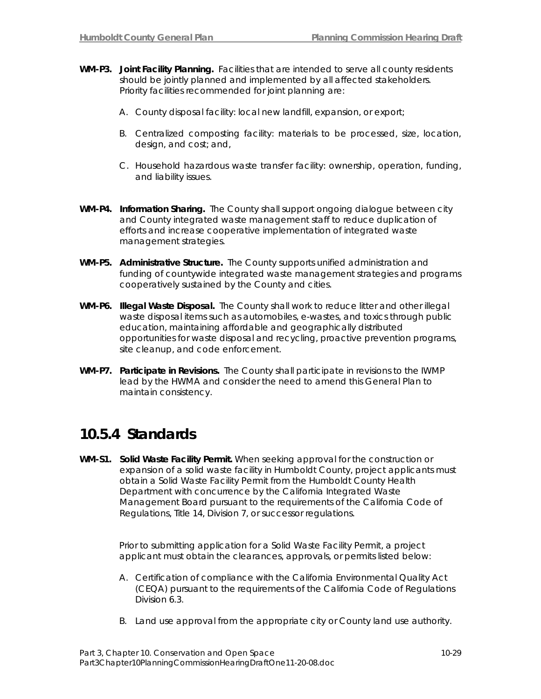- **WM-P3. Joint Facility Planning.** Facilities that are intended to serve all county residents should be jointly planned and implemented by all affected stakeholders. Priority facilities recommended for joint planning are:
	- A. County disposal facility: local new landfill, expansion, or export;
	- B. Centralized composting facility: materials to be processed, size, location, design, and cost; and,
	- C. Household hazardous waste transfer facility: ownership, operation, funding, and liability issues.
- **WM-P4. Information Sharing.** The County shall support ongoing dialogue between city and County integrated waste management staff to reduce duplication of efforts and increase cooperative implementation of integrated waste management strategies.
- **WM-P5. Administrative Structure.** The County supports unified administration and funding of countywide integrated waste management strategies and programs cooperatively sustained by the County and cities.
- **WM-P6. Illegal Waste Disposal.** The County shall work to reduce litter and other illegal waste disposal items such as automobiles, e-wastes, and toxics through public education, maintaining affordable and geographically distributed opportunities for waste disposal and recycling, proactive prevention programs, site cleanup, and code enforcement.
- **WM-P7. Participate in Revisions.** The County shall participate in revisions to the IWMP lead by the HWMA and consider the need to amend this General Plan to maintain consistency.

### **10.5.4 Standards**

**WM-S1. Solid Waste Facility Permit.** When seeking approval for the construction or expansion of a solid waste facility in Humboldt County, project applicants must obtain a Solid Waste Facility Permit from the Humboldt County Health Department with concurrence by the California Integrated Waste Management Board pursuant to the requirements of the California Code of Regulations, Title 14, Division 7, or successor regulations.

> Prior to submitting application for a Solid Waste Facility Permit, a project applicant must obtain the clearances, approvals, or permits listed below:

- A. Certification of compliance with the California Environmental Quality Act (CEQA) pursuant to the requirements of the California Code of Regulations Division 6.3.
- B. Land use approval from the appropriate city or County land use authority.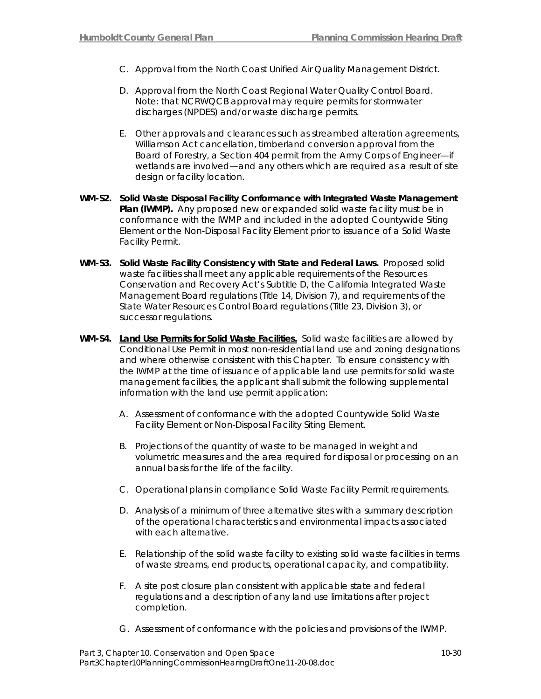- C. Approval from the North Coast Unified Air Quality Management District.
- D. Approval from the North Coast Regional Water Quality Control Board. Note: that NCRWQCB approval may require permits for stormwater discharges (NPDES) and/or waste discharge permits.
- E. Other approvals and clearances such as streambed alteration agreements, Williamson Act cancellation, timberland conversion approval from the Board of Forestry, a Section 404 permit from the Army Corps of Engineer—if wetlands are involved—and any others which are required as a result of site design or facility location.
- **WM-S2. Solid Waste Disposal Facility Conformance with Integrated Waste Management**  Plan (IWMP). Any proposed new or expanded solid waste facility must be in conformance with the IWMP and included in the adopted Countywide Siting Element or the Non-Disposal Facility Element prior to issuance of a Solid Waste Facility Permit.
- **WM-S3. Solid Waste Facility Consistency with State and Federal Laws.** Proposed solid waste facilities shall meet any applicable requirements of the Resources Conservation and Recovery Act's Subtitle D, the California Integrated Waste Management Board regulations (Title 14, Division 7), and requirements of the State Water Resources Control Board regulations (Title 23, Division 3), or successor regulations.
- **WM-S4. Land Use Permits for Solid Waste Facilities.** Solid waste facilities are allowed by Conditional Use Permit in most non-residential land use and zoning designations and where otherwise consistent with this Chapter. To ensure consistency with the IWMP at the time of issuance of applicable land use permits for solid waste management facilities, the applicant shall submit the following supplemental information with the land use permit application:
	- A. Assessment of conformance with the adopted Countywide Solid Waste Facility Element or Non-Disposal Facility Siting Element.
	- B. Projections of the quantity of waste to be managed in weight and volumetric measures and the area required for disposal or processing on an annual basis for the life of the facility.
	- C. Operational plans in compliance Solid Waste Facility Permit requirements.
	- D. Analysis of a minimum of three alternative sites with a summary description of the operational characteristics and environmental impacts associated with each alternative.
	- E. Relationship of the solid waste facility to existing solid waste facilities in terms of waste streams, end products, operational capacity, and compatibility.
	- F. A site post closure plan consistent with applicable state and federal regulations and a description of any land use limitations after project completion.
	- G. Assessment of conformance with the policies and provisions of the IWMP.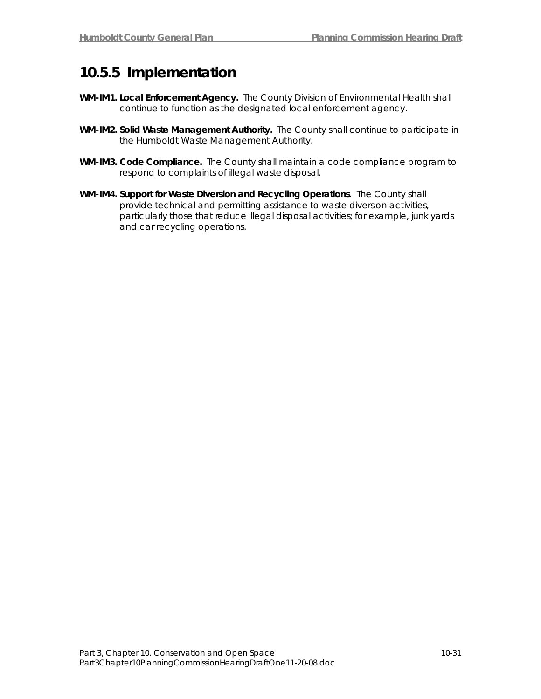## **10.5.5 Implementation**

- **WM-IM1. Local Enforcement Agency.** The County Division of Environmental Health shall continue to function as the designated local enforcement agency.
- **WM-IM2. Solid Waste Management Authority.** The County shall continue to participate in the Humboldt Waste Management Authority.
- **WM-IM3. Code Compliance.** The County shall maintain a code compliance program to respond to complaints of illegal waste disposal.
- **WM-IM4. Support for Waste Diversion and Recycling Operations**. The County shall provide technical and permitting assistance to waste diversion activities, particularly those that reduce illegal disposal activities; for example, junk yards and car recycling operations.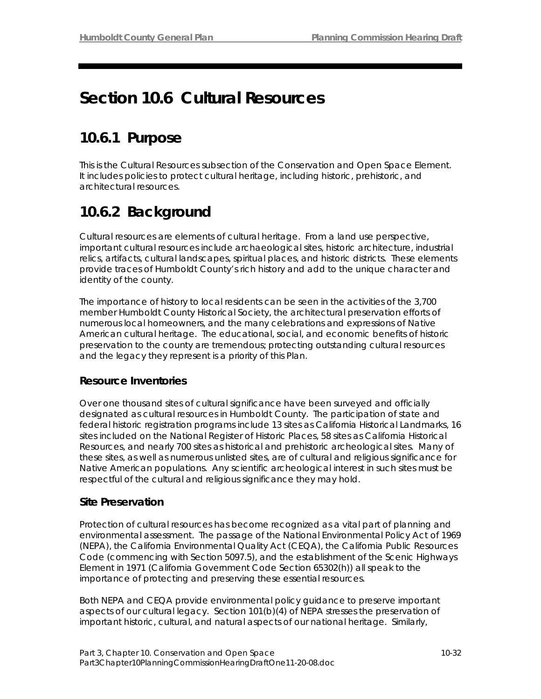# **Section 10.6 Cultural Resources**

# **10.6.1 Purpose**

This is the Cultural Resources subsection of the Conservation and Open Space Element. It includes policies to protect cultural heritage, including historic, prehistoric, and architectural resources.

# **10.6.2 Background**

Cultural resources are elements of cultural heritage. From a land use perspective, important cultural resources include archaeological sites, historic architecture, industrial relics, artifacts, cultural landscapes, spiritual places, and historic districts. These elements provide traces of Humboldt County's rich history and add to the unique character and identity of the county.

The importance of history to local residents can be seen in the activities of the 3,700 member Humboldt County Historical Society, the architectural preservation efforts of numerous local homeowners, and the many celebrations and expressions of Native American cultural heritage. The educational, social, and economic benefits of historic preservation to the county are tremendous; protecting outstanding cultural resources and the legacy they represent is a priority of this Plan.

### **Resource Inventories**

Over one thousand sites of cultural significance have been surveyed and officially designated as cultural resources in Humboldt County. The participation of state and federal historic registration programs include 13 sites as California Historical Landmarks, 16 sites included on the National Register of Historic Places, 58 sites as California Historical Resources, and nearly 700 sites as historical and prehistoric archeological sites. Many of these sites, as well as numerous unlisted sites, are of cultural and religious significance for Native American populations. Any scientific archeological interest in such sites must be respectful of the cultural and religious significance they may hold.

### **Site Preservation**

Protection of cultural resources has become recognized as a vital part of planning and environmental assessment. The passage of the National Environmental Policy Act of 1969 (NEPA), the California Environmental Quality Act (CEQA), the California Public Resources Code (commencing with Section 5097.5), and the establishment of the Scenic Highways Element in 1971 (California Government Code Section 65302(h)) all speak to the importance of protecting and preserving these essential resources.

Both NEPA and CEQA provide environmental policy guidance to preserve important aspects of our cultural legacy. Section 101(b)(4) of NEPA stresses the preservation of important historic, cultural, and natural aspects of our national heritage. Similarly,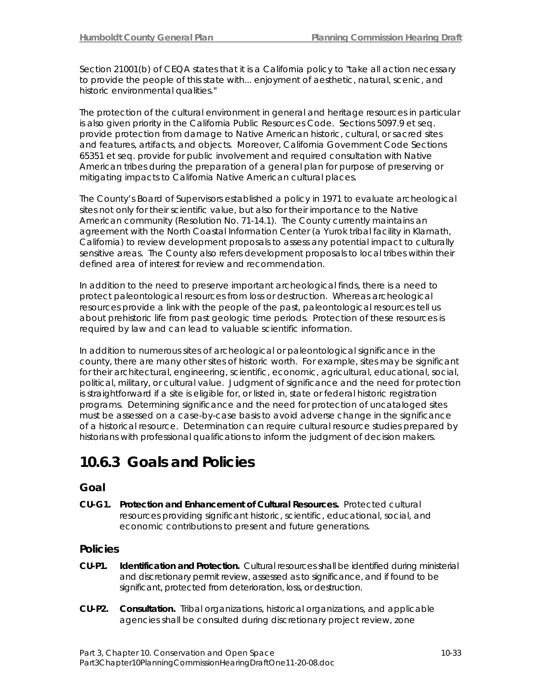Section 21001(b) of CEQA states that it is a California policy to "take all action necessary to provide the people of this state with... enjoyment of aesthetic, natural, scenic, and historic environmental qualities."

The protection of the cultural environment in general and heritage resources in particular is also given priority in the California Public Resources Code. Sections 5097.9 et seq. provide protection from damage to Native American historic, cultural, or sacred sites and features, artifacts, and objects. Moreover, California Government Code Sections 65351 et seq. provide for public involvement and required consultation with Native American tribes during the preparation of a general plan for purpose of preserving or mitigating impacts to California Native American cultural places.

The County's Board of Supervisors established a policy in 1971 to evaluate archeological sites not only for their scientific value, but also for their importance to the Native American community (Resolution No. 71-14.1). The County currently maintains an agreement with the North Coastal Information Center (a Yurok tribal facility in Klamath, California) to review development proposals to assess any potential impact to culturally sensitive areas. The County also refers development proposals to local tribes within their defined area of interest for review and recommendation.

In addition to the need to preserve important archeological finds, there is a need to protect paleontological resources from loss or destruction. Whereas archeological resources provide a link with the people of the past, paleontological resources tell us about prehistoric life from past geologic time periods. Protection of these resources is required by law and can lead to valuable scientific information.

In addition to numerous sites of archeological or paleontological significance in the county, there are many other sites of historic worth. For example, sites may be significant for their architectural, engineering, scientific, economic, agricultural, educational, social, political, military, or cultural value. Judgment of significance and the need for protection is straightforward if a site is eligible for, or listed in, state or federal historic registration programs. Determining significance and the need for protection of uncataloged sites must be assessed on a case-by-case basis to avoid adverse change in the significance of a historical resource. Determination can require cultural resource studies prepared by historians with professional qualifications to inform the judgment of decision makers.

# **10.6.3 Goals and Policies**

### **Goal**

**CU-G1. Protection and Enhancement of Cultural Resources.** Protected cultural resources providing significant historic, scientific, educational, social, and economic contributions to present and future generations.

### **Policies**

- **CU-P1. Identification and Protection.** Cultural resources shall be identified during ministerial and discretionary permit review, assessed as to significance, and if found to be significant, protected from deterioration, loss, or destruction.
- **CU-P2. Consultation.** Tribal organizations, historical organizations, and applicable agencies shall be consulted during discretionary project review, zone

Part 3, Chapter 10. Conservation and Open Space 10-33 Part3Chapter10PlanningCommissionHearingDraftOne11-20-08.doc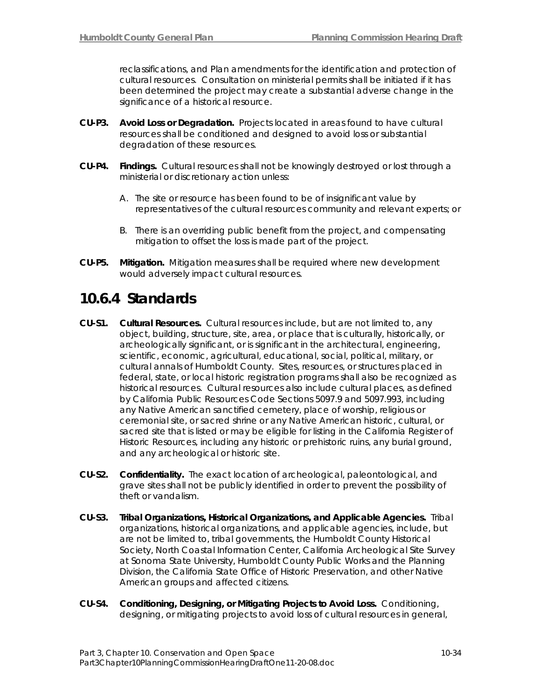reclassifications, and Plan amendments for the identification and protection of cultural resources. Consultation on ministerial permits shall be initiated if it has been determined the project may create a substantial adverse change in the significance of a historical resource.

- **CU-P3. Avoid Loss or Degradation.** Projects located in areas found to have cultural resources shall be conditioned and designed to avoid loss or substantial degradation of these resources.
- **CU-P4. Findings.** Cultural resources shall not be knowingly destroyed or lost through a ministerial or discretionary action unless:
	- A. The site or resource has been found to be of insignificant value by representatives of the cultural resources community and relevant experts; or
	- B. There is an overriding public benefit from the project, and compensating mitigation to offset the loss is made part of the project.
- **CU-P5. Mitigation.** Mitigation measures shall be required where new development would adversely impact cultural resources.

### **10.6.4 Standards**

- **CU-S1. Cultural Resources.** Cultural resources include, but are not limited to, any object, building, structure, site, area, or place that is culturally, historically, or archeologically significant, or is significant in the architectural, engineering, scientific, economic, agricultural, educational, social, political, military, or cultural annals of Humboldt County. Sites, resources, or structures placed in federal, state, or local historic registration programs shall also be recognized as historical resources. Cultural resources also include cultural places, as defined by California Public Resources Code Sections 5097.9 and 5097.993, including any Native American sanctified cemetery, place of worship, religious or ceremonial site, or sacred shrine or any Native American historic, cultural, or sacred site that is listed or may be eligible for listing in the California Register of Historic Resources, including any historic or prehistoric ruins, any burial ground, and any archeological or historic site.
- **CU-S2. Confidentiality.** The exact location of archeological, paleontological, and grave sites shall not be publicly identified in order to prevent the possibility of theft or vandalism.
- **CU-S3. Tribal Organizations, Historical Organizations, and Applicable Agencies.** Tribal organizations, historical organizations, and applicable agencies, include, but are not be limited to, tribal governments, the Humboldt County Historical Society, North Coastal Information Center, California Archeological Site Survey at Sonoma State University, Humboldt County Public Works and the Planning Division, the California State Office of Historic Preservation, and other Native American groups and affected citizens.
- **CU-S4. Conditioning, Designing, or Mitigating Projects to Avoid Loss.** Conditioning, designing, or mitigating projects to avoid loss of cultural resources in general,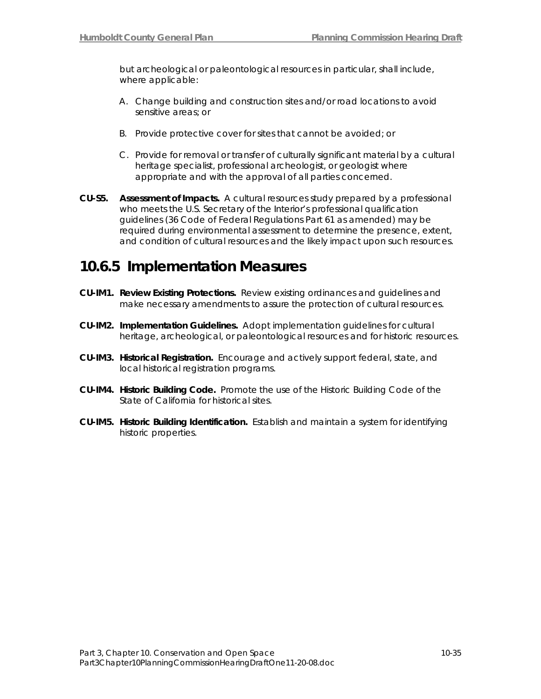but archeological or paleontological resources in particular, shall include, where applicable:

- A. Change building and construction sites and/or road locations to avoid sensitive areas; or
- B. Provide protective cover for sites that cannot be avoided; or
- C. Provide for removal or transfer of culturally significant material by a cultural heritage specialist, professional archeologist, or geologist where appropriate and with the approval of all parties concerned.
- **CU-S5. Assessment of Impacts.** A cultural resources study prepared by a professional who meets the U.S. Secretary of the Interior's professional qualification guidelines (36 Code of Federal Regulations Part 61 as amended) may be required during environmental assessment to determine the presence, extent, and condition of cultural resources and the likely impact upon such resources.

### **10.6.5 Implementation Measures**

- **CU-IM1. Review Existing Protections.** Review existing ordinances and guidelines and make necessary amendments to assure the protection of cultural resources.
- **CU-IM2. Implementation Guidelines.** Adopt implementation guidelines for cultural heritage, archeological, or paleontological resources and for historic resources.
- **CU-IM3. Historical Registration.** Encourage and actively support federal, state, and local historical registration programs.
- **CU-IM4. Historic Building Code.** Promote the use of the Historic Building Code of the State of California for historical sites.
- **CU-IM5. Historic Building Identification.** Establish and maintain a system for identifying historic properties.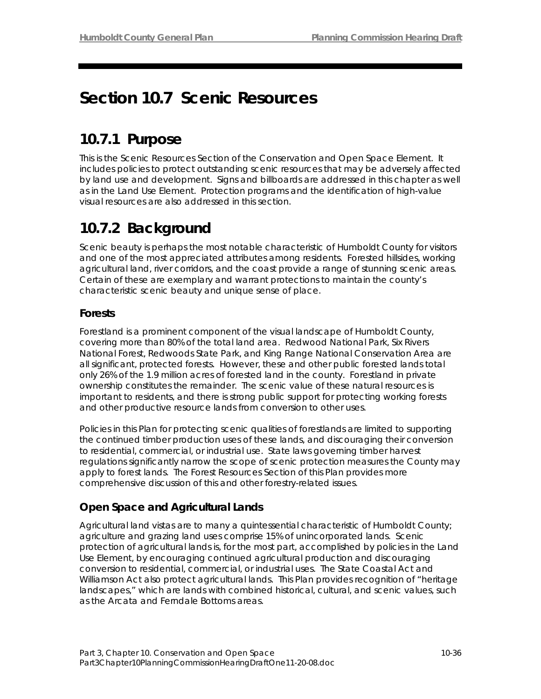# **Section 10.7 Scenic Resources**

# **10.7.1 Purpose**

This is the Scenic Resources Section of the Conservation and Open Space Element. It includes policies to protect outstanding scenic resources that may be adversely affected by land use and development. Signs and billboards are addressed in this chapter as well as in the Land Use Element. Protection programs and the identification of high-value visual resources are also addressed in this section.

# **10.7.2 Background**

Scenic beauty is perhaps the most notable characteristic of Humboldt County for visitors and one of the most appreciated attributes among residents. Forested hillsides, working agricultural land, river corridors, and the coast provide a range of stunning scenic areas. Certain of these are exemplary and warrant protections to maintain the county's characteristic scenic beauty and unique sense of place.

### **Forests**

Forestland is a prominent component of the visual landscape of Humboldt County, covering more than 80% of the total land area. Redwood National Park, Six Rivers National Forest, Redwoods State Park, and King Range National Conservation Area are all significant, protected forests. However, these and other public forested lands total only 26% of the 1.9 million acres of forested land in the county. Forestland in private ownership constitutes the remainder. The scenic value of these natural resources is important to residents, and there is strong public support for protecting working forests and other productive resource lands from conversion to other uses.

Policies in this Plan for protecting scenic qualities of forestlands are limited to supporting the continued timber production uses of these lands, and discouraging their conversion to residential, commercial, or industrial use. State laws governing timber harvest regulations significantly narrow the scope of scenic protection measures the County may apply to forest lands. The Forest Resources Section of this Plan provides more comprehensive discussion of this and other forestry-related issues.

### **Open Space and Agricultural Lands**

Agricultural land vistas are to many a quintessential characteristic of Humboldt County; agriculture and grazing land uses comprise 15% of unincorporated lands. Scenic protection of agricultural lands is, for the most part, accomplished by policies in the Land Use Element, by encouraging continued agricultural production and discouraging conversion to residential, commercial, or industrial uses. The State Coastal Act and Williamson Act also protect agricultural lands. This Plan provides recognition of "heritage landscapes," which are lands with combined historical, cultural, and scenic values, such as the Arcata and Ferndale Bottoms areas.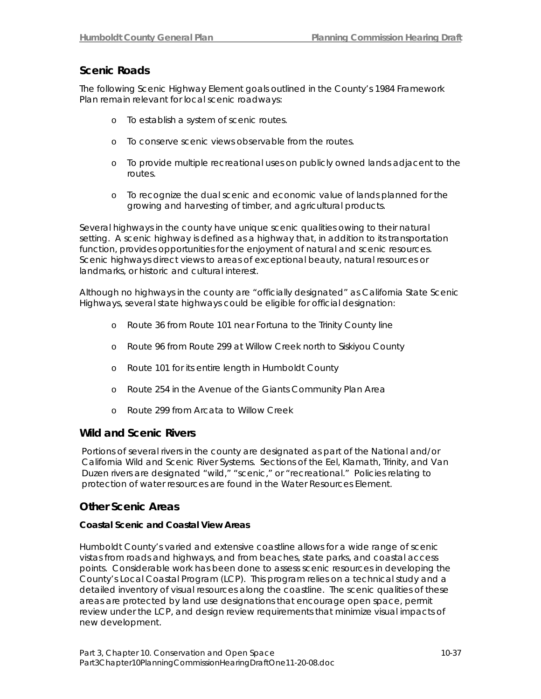### **Scenic Roads**

The following Scenic Highway Element goals outlined in the County's 1984 Framework Plan remain relevant for local scenic roadways:

- o To establish a system of scenic routes.
- o To conserve scenic views observable from the routes.
- o To provide multiple recreational uses on publicly owned lands adjacent to the routes.
- o To recognize the dual scenic and economic value of lands planned for the growing and harvesting of timber, and agricultural products.

Several highways in the county have unique scenic qualities owing to their natural setting. A scenic highway is defined as a highway that, in addition to its transportation function, provides opportunities for the enjoyment of natural and scenic resources. Scenic highways direct views to areas of exceptional beauty, natural resources or landmarks, or historic and cultural interest.

Although no highways in the county are "officially designated" as California State Scenic Highways, several state highways could be eligible for official designation:

- o Route 36 from Route 101 near Fortuna to the Trinity County line
- o Route 96 from Route 299 at Willow Creek north to Siskiyou County
- o Route 101 for its entire length in Humboldt County
- o Route 254 in the Avenue of the Giants Community Plan Area
- o Route 299 from Arcata to Willow Creek

### **Wild and Scenic Rivers**

Portions of several rivers in the county are designated as part of the National and/or California Wild and Scenic River Systems. Sections of the Eel, Klamath, Trinity, and Van Duzen rivers are designated "wild," "scenic," or "recreational." Policies relating to protection of water resources are found in the Water Resources Element.

### **Other Scenic Areas**

#### *Coastal Scenic and Coastal View Areas*

Humboldt County's varied and extensive coastline allows for a wide range of scenic vistas from roads and highways, and from beaches, state parks, and coastal access points. Considerable work has been done to assess scenic resources in developing the County's Local Coastal Program (LCP). This program relies on a technical study and a detailed inventory of visual resources along the coastline. The scenic qualities of these areas are protected by land use designations that encourage open space, permit review under the LCP, and design review requirements that minimize visual impacts of new development.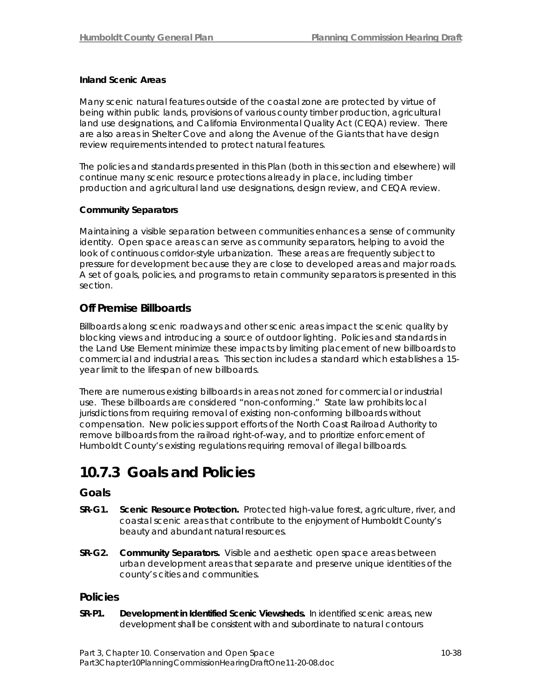#### *Inland Scenic Areas*

Many scenic natural features outside of the coastal zone are protected by virtue of being within public lands, provisions of various county timber production, agricultural land use designations, and California Environmental Quality Act (CEQA) review. There are also areas in Shelter Cove and along the Avenue of the Giants that have design review requirements intended to protect natural features.

The policies and standards presented in this Plan (both in this section and elsewhere) will continue many scenic resource protections already in place, including timber production and agricultural land use designations, design review, and CEQA review.

#### *Community Separators*

Maintaining a visible separation between communities enhances a sense of community identity. Open space areas can serve as community separators, helping to avoid the look of continuous corridor-style urbanization. These areas are frequently subject to pressure for development because they are close to developed areas and major roads. A set of goals, policies, and programs to retain community separators is presented in this section.

### **Off Premise Billboards**

Billboards along scenic roadways and other scenic areas impact the scenic quality by blocking views and introducing a source of outdoor lighting. Policies and standards in the Land Use Element minimize these impacts by limiting placement of new billboards to commercial and industrial areas. This section includes a standard which establishes a 15 year limit to the lifespan of new billboards.

There are numerous existing billboards in areas not zoned for commercial or industrial use. These billboards are considered "non-conforming." State law prohibits local jurisdictions from requiring removal of existing non-conforming billboards without compensation. New policies support efforts of the North Coast Railroad Authority to remove billboards from the railroad right-of-way, and to prioritize enforcement of Humboldt County's existing regulations requiring removal of illegal billboards.

### **10.7.3 Goals and Policies**

### **Goals**

- **SR-G1. Scenic Resource Protection.** Protected high-value forest, agriculture, river, and coastal scenic areas that contribute to the enjoyment of Humboldt County's beauty and abundant natural resources.
- **SR-G2. Community Separators.** Visible and aesthetic open space areas between urban development areas that separate and preserve unique identities of the county's cities and communities.

#### **Policies**

**SR-P1. Development in Identified Scenic Viewsheds.** In identified scenic areas, new development shall be consistent with and subordinate to natural contours

Part 3, Chapter 10. Conservation and Open Space 10-38 Part3Chapter10PlanningCommissionHearingDraftOne11-20-08.doc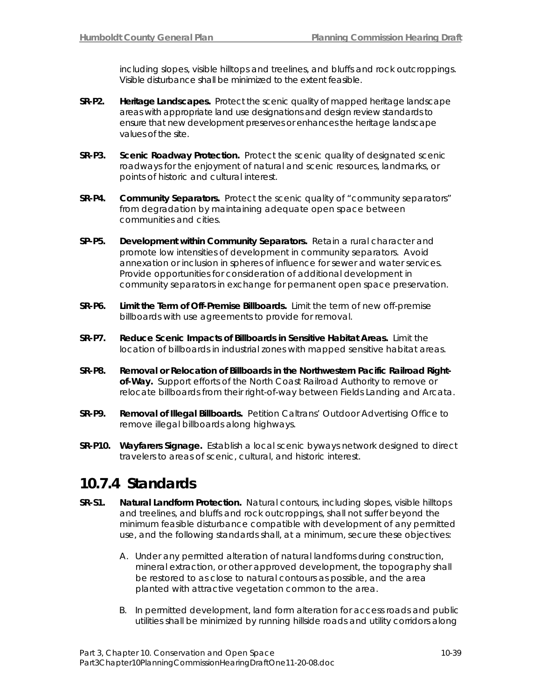including slopes, visible hilltops and treelines, and bluffs and rock outcroppings. Visible disturbance shall be minimized to the extent feasible.

- **SR-P2. Heritage Landscapes.** Protect the scenic quality of mapped heritage landscape areas with appropriate land use designations and design review standards to ensure that new development preserves or enhances the heritage landscape values of the site.
- **SR-P3. Scenic Roadway Protection.** Protect the scenic quality of designated scenic roadways for the enjoyment of natural and scenic resources, landmarks, or points of historic and cultural interest.
- **SR-P4. Community Separators.** Protect the scenic quality of "community separators" from degradation by maintaining adequate open space between communities and cities.
- **SP-P5. Development within Community Separators.** Retain a rural character and promote low intensities of development in community separators. Avoid annexation or inclusion in spheres of influence for sewer and water services. Provide opportunities for consideration of additional development in community separators in exchange for permanent open space preservation.
- **SR-P6. Limit the Term of Off-Premise Billboards.** Limit the term of new off-premise billboards with use agreements to provide for removal.
- **SR-P7. Reduce Scenic Impacts of Billboards in Sensitive Habitat Areas.** Limit the location of billboards in industrial zones with mapped sensitive habitat areas.
- **SR-P8. Removal or Relocation of Billboards in the Northwestern Pacific Railroad Rightof-Way.** Support efforts of the North Coast Railroad Authority to remove or relocate billboards from their right-of-way between Fields Landing and Arcata.
- **SR-P9. Removal of Illegal Billboards.** Petition Caltrans' Outdoor Advertising Office to remove illegal billboards along highways.
- **SR-P10. Wayfarers Signage.** Establish a local scenic byways network designed to direct travelers to areas of scenic, cultural, and historic interest.

### **10.7.4 Standards**

- **SR-S1. Natural Landform Protection.** Natural contours, including slopes, visible hilltops and treelines, and bluffs and rock outcroppings, shall not suffer beyond the minimum feasible disturbance compatible with development of any permitted use, and the following standards shall, at a minimum, secure these objectives:
	- A. Under any permitted alteration of natural landforms during construction, mineral extraction, or other approved development, the topography shall be restored to as close to natural contours as possible, and the area planted with attractive vegetation common to the area.
	- B. In permitted development, land form alteration for access roads and public utilities shall be minimized by running hillside roads and utility corridors along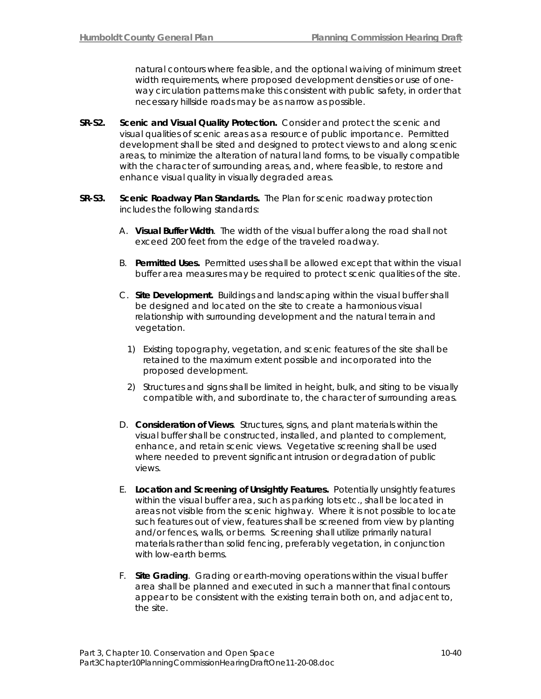natural contours where feasible, and the optional waiving of minimum street width requirements, where proposed development densities or use of oneway circulation patterns make this consistent with public safety, in order that necessary hillside roads may be as narrow as possible.

- **SR-S2. Scenic and Visual Quality Protection.** Consider and protect the scenic and visual qualities of scenic areas as a resource of public importance. Permitted development shall be sited and designed to protect views to and along scenic areas, to minimize the alteration of natural land forms, to be visually compatible with the character of surrounding areas, and, where feasible, to restore and enhance visual quality in visually degraded areas.
- **SR-S3. Scenic Roadway Plan Standards.** The Plan for scenic roadway protection includes the following standards:
	- A. **Visual Buffer Width***.* The width of the visual buffer along the road shall not exceed 200 feet from the edge of the traveled roadway.
	- B. **Permitted Uses.** Permitted uses shall be allowed except that within the visual buffer area measures may be required to protect scenic qualities of the site.
	- C. **Site Development.** Buildings and landscaping within the visual buffer shall be designed and located on the site to create a harmonious visual relationship with surrounding development and the natural terrain and vegetation.
		- 1) Existing topography, vegetation, and scenic features of the site shall be retained to the maximum extent possible and incorporated into the proposed development.
		- 2) Structures and signs shall be limited in height, bulk, and siting to be visually compatible with, and subordinate to, the character of surrounding areas.
	- D. **Consideration of Views***.* Structures, signs, and plant materials within the visual buffer shall be constructed, installed, and planted to complement, enhance, and retain scenic views. Vegetative screening shall be used where needed to prevent significant intrusion or degradation of public views.
	- E. **Location and Screening of Unsightly Features.** Potentially unsightly features within the visual buffer area, such as parking lots etc., shall be located in areas not visible from the scenic highway. Where it is not possible to locate such features out of view, features shall be screened from view by planting and/or fences, walls, or berms. Screening shall utilize primarily natural materials rather than solid fencing, preferably vegetation, in conjunction with low-earth berms.
	- F. **Site Grading***.* Grading or earth-moving operations within the visual buffer area shall be planned and executed in such a manner that final contours appear to be consistent with the existing terrain both on, and adjacent to, the site.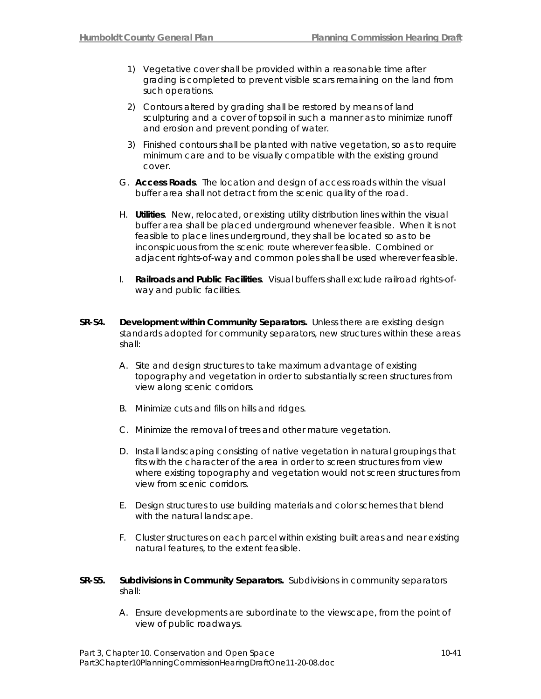- 1) Vegetative cover shall be provided within a reasonable time after grading is completed to prevent visible scars remaining on the land from such operations.
- 2) Contours altered by grading shall be restored by means of land sculpturing and a cover of topsoil in such a manner as to minimize runoff and erosion and prevent ponding of water.
- 3) Finished contours shall be planted with native vegetation, so as to require minimum care and to be visually compatible with the existing ground cover.
- G. **Access Roads***.* The location and design of access roads within the visual buffer area shall not detract from the scenic quality of the road.
- H. **Utilities***.*New, relocated, or existing utility distribution lines within the visual buffer area shall be placed underground whenever feasible. When it is not feasible to place lines underground, they shall be located so as to be inconspicuous from the scenic route wherever feasible. Combined or adjacent rights-of-way and common poles shall be used wherever feasible.
- I. **Railroads** *and Public Facilities.* Visual buffers shall exclude railroad rights-ofway and public facilities.
- **SR-S4. Development within Community Separators.** Unless there are existing design standards adopted for community separators, new structures within these areas shall:
	- A. Site and design structures to take maximum advantage of existing topography and vegetation in order to substantially screen structures from view along scenic corridors.
	- B. Minimize cuts and fills on hills and ridges.
	- C. Minimize the removal of trees and other mature vegetation.
	- D. Install landscaping consisting of native vegetation in natural groupings that fits with the character of the area in order to screen structures from view where existing topography and vegetation would not screen structures from view from scenic corridors.
	- E. Design structures to use building materials and color schemes that blend with the natural landscape.
	- F. Cluster structures on each parcel within existing built areas and near existing natural features, to the extent feasible.
- **SR-S5. Subdivisions in Community Separators.** Subdivisions in community separators shall:
	- A. Ensure developments are subordinate to the viewscape, from the point of view of public roadways.